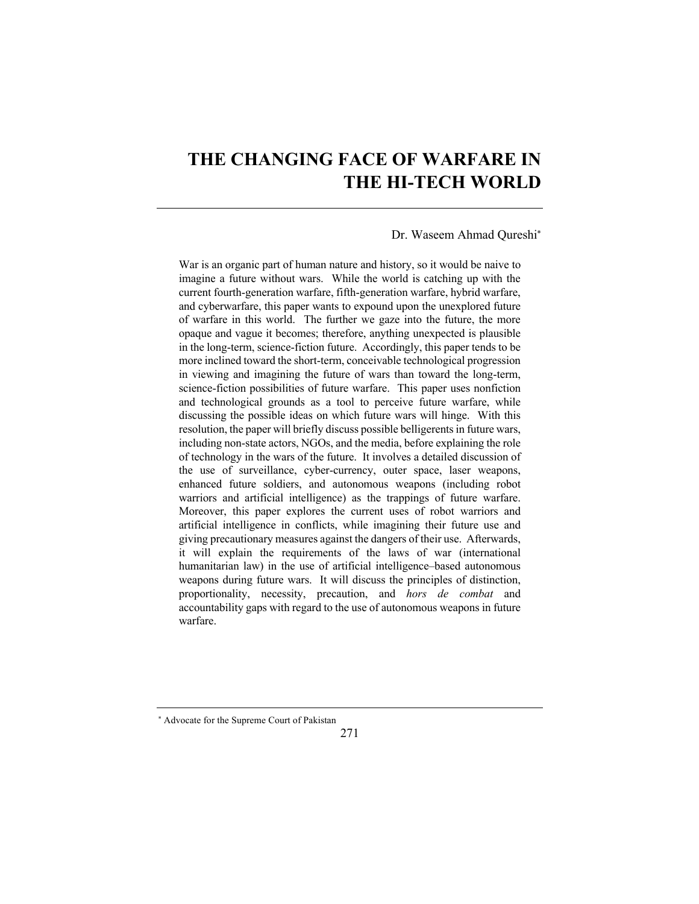# **THE CHANGING FACE OF WARFARE IN THE HI-TECH WORLD**

#### Dr. Waseem Ahmad Qureshi\*

War is an organic part of human nature and history, so it would be naive to imagine a future without wars. While the world is catching up with the current fourth-generation warfare, fifth-generation warfare, hybrid warfare, and cyberwarfare, this paper wants to expound upon the unexplored future of warfare in this world. The further we gaze into the future, the more opaque and vague it becomes; therefore, anything unexpected is plausible in the long-term, science-fiction future. Accordingly, this paper tends to be more inclined toward the short-term, conceivable technological progression in viewing and imagining the future of wars than toward the long-term, science-fiction possibilities of future warfare. This paper uses nonfiction and technological grounds as a tool to perceive future warfare, while discussing the possible ideas on which future wars will hinge. With this resolution, the paper will briefly discuss possible belligerents in future wars, including non-state actors, NGOs, and the media, before explaining the role of technology in the wars of the future. It involves a detailed discussion of the use of surveillance, cyber-currency, outer space, laser weapons, enhanced future soldiers, and autonomous weapons (including robot warriors and artificial intelligence) as the trappings of future warfare. Moreover, this paper explores the current uses of robot warriors and artificial intelligence in conflicts, while imagining their future use and giving precautionary measures against the dangers of their use. Afterwards, it will explain the requirements of the laws of war (international humanitarian law) in the use of artificial intelligence–based autonomous weapons during future wars. It will discuss the principles of distinction, proportionality, necessity, precaution, and *hors de combat* and accountability gaps with regard to the use of autonomous weapons in future warfare.

<sup>\*</sup> Advocate for the Supreme Court of Pakistan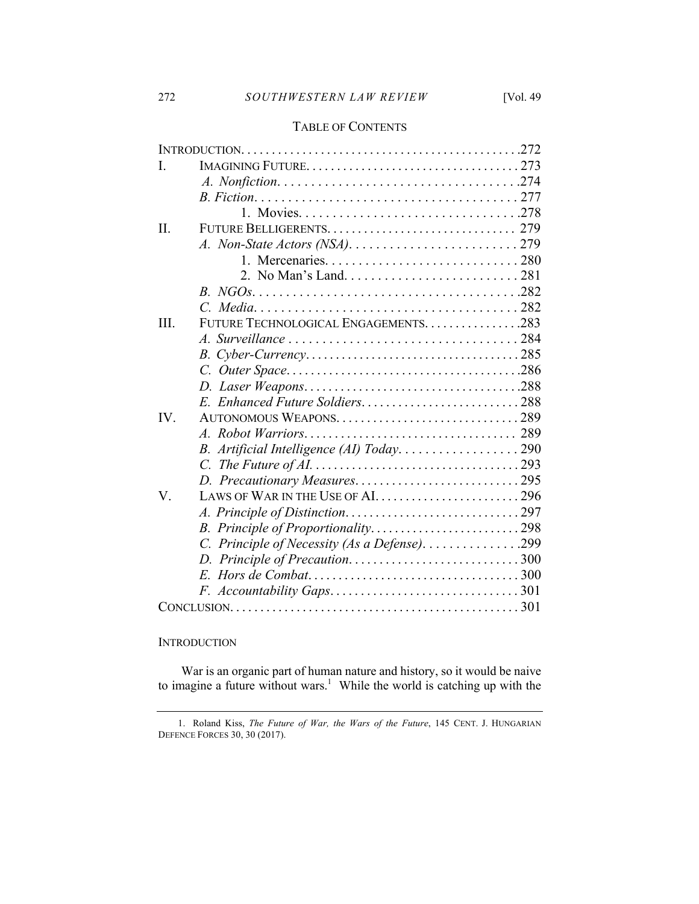# TABLE OF CONTENTS

| I.       |                                               |  |
|----------|-----------------------------------------------|--|
|          |                                               |  |
|          |                                               |  |
|          |                                               |  |
| II.      |                                               |  |
|          |                                               |  |
|          |                                               |  |
|          |                                               |  |
|          |                                               |  |
|          |                                               |  |
| III.     | FUTURE TECHNOLOGICAL ENGAGEMENTS. 283         |  |
|          |                                               |  |
|          |                                               |  |
|          |                                               |  |
|          |                                               |  |
|          | E. Enhanced Future Soldiers288                |  |
| $IV_{-}$ |                                               |  |
|          |                                               |  |
|          | B. Artificial Intelligence (AI) Today290      |  |
|          |                                               |  |
|          | D. Precautionary Measures295                  |  |
| V.       | LAWS OF WAR IN THE USE OF AL296               |  |
|          |                                               |  |
|          |                                               |  |
|          | C. Principle of Necessity (As a Defense). 299 |  |
|          |                                               |  |
|          |                                               |  |
|          |                                               |  |
|          |                                               |  |

# **INTRODUCTION**

War is an organic part of human nature and history, so it would be naive to imagine a future without wars.<sup>1</sup> While the world is catching up with the

<sup>1.</sup> Roland Kiss, *The Future of War, the Wars of the Future*, 145 CENT. J. HUNGARIAN DEFENCE FORCES 30, 30 (2017).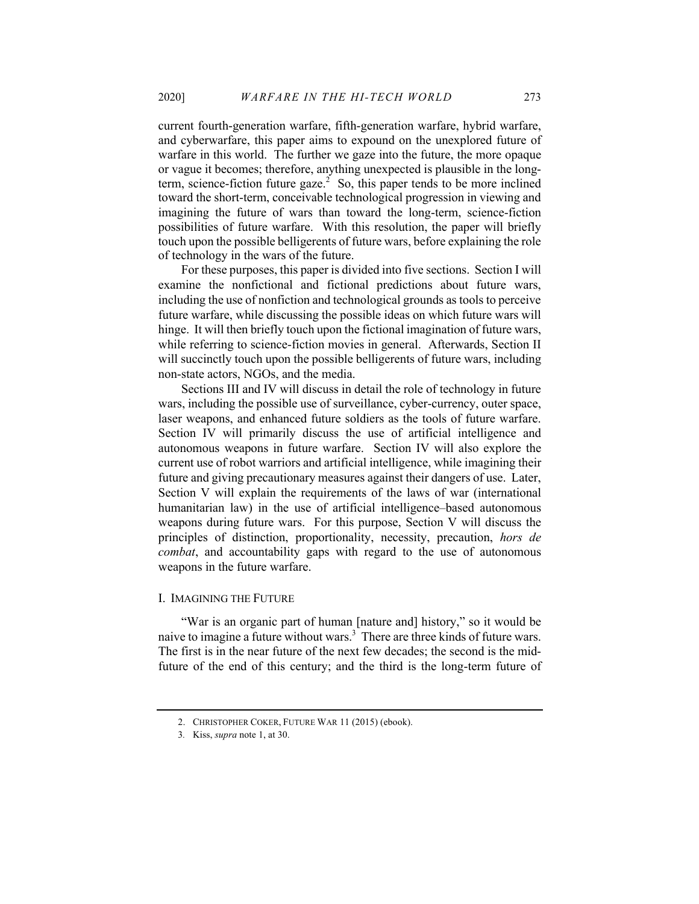current fourth-generation warfare, fifth-generation warfare, hybrid warfare, and cyberwarfare, this paper aims to expound on the unexplored future of warfare in this world. The further we gaze into the future, the more opaque or vague it becomes; therefore, anything unexpected is plausible in the longterm, science-fiction future gaze.<sup>2</sup> So, this paper tends to be more inclined toward the short-term, conceivable technological progression in viewing and imagining the future of wars than toward the long-term, science-fiction possibilities of future warfare. With this resolution, the paper will briefly touch upon the possible belligerents of future wars, before explaining the role of technology in the wars of the future.

For these purposes, this paper is divided into five sections. Section I will examine the nonfictional and fictional predictions about future wars, including the use of nonfiction and technological grounds as tools to perceive future warfare, while discussing the possible ideas on which future wars will hinge. It will then briefly touch upon the fictional imagination of future wars, while referring to science-fiction movies in general. Afterwards, Section II will succinctly touch upon the possible belligerents of future wars, including non-state actors, NGOs, and the media.

Sections III and IV will discuss in detail the role of technology in future wars, including the possible use of surveillance, cyber-currency, outer space, laser weapons, and enhanced future soldiers as the tools of future warfare. Section IV will primarily discuss the use of artificial intelligence and autonomous weapons in future warfare. Section IV will also explore the current use of robot warriors and artificial intelligence, while imagining their future and giving precautionary measures against their dangers of use. Later, Section V will explain the requirements of the laws of war (international humanitarian law) in the use of artificial intelligence–based autonomous weapons during future wars. For this purpose, Section V will discuss the principles of distinction, proportionality, necessity, precaution, *hors de combat*, and accountability gaps with regard to the use of autonomous weapons in the future warfare.

# I. IMAGINING THE FUTURE

"War is an organic part of human [nature and] history," so it would be naive to imagine a future without wars.<sup>3</sup> There are three kinds of future wars. The first is in the near future of the next few decades; the second is the midfuture of the end of this century; and the third is the long-term future of

<sup>2.</sup> CHRISTOPHER COKER, FUTURE WAR 11 (2015) (ebook).

<sup>3</sup>*.* Kiss, *supra* note 1, at 30.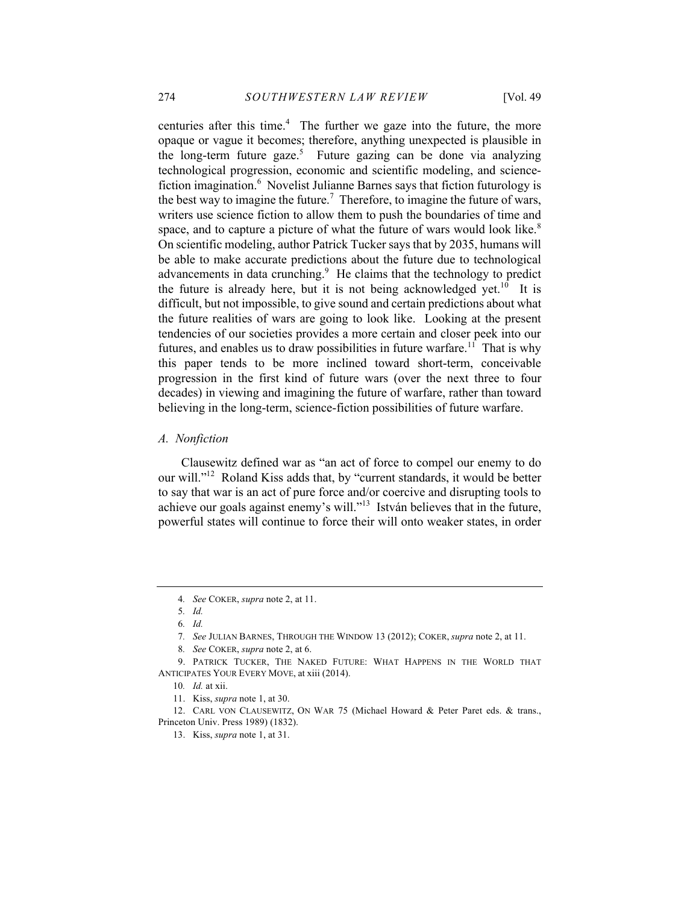centuries after this time. $4$  The further we gaze into the future, the more opaque or vague it becomes; therefore, anything unexpected is plausible in the long-term future gaze.<sup>5</sup> Future gazing can be done via analyzing technological progression, economic and scientific modeling, and sciencefiction imagination.<sup>6</sup> Novelist Julianne Barnes says that fiction futurology is the best way to imagine the future.<sup>7</sup> Therefore, to imagine the future of wars, writers use science fiction to allow them to push the boundaries of time and space, and to capture a picture of what the future of wars would look like.<sup>8</sup> On scientific modeling, author Patrick Tucker says that by 2035, humans will be able to make accurate predictions about the future due to technological advancements in data crunching. $9$  He claims that the technology to predict the future is already here, but it is not being acknowledged yet.<sup>10</sup> It is difficult, but not impossible, to give sound and certain predictions about what the future realities of wars are going to look like. Looking at the present tendencies of our societies provides a more certain and closer peek into our futures, and enables us to draw possibilities in future warfare.<sup>11</sup> That is why this paper tends to be more inclined toward short-term, conceivable progression in the first kind of future wars (over the next three to four decades) in viewing and imagining the future of warfare, rather than toward believing in the long-term, science-fiction possibilities of future warfare.

#### *A. Nonfiction*

Clausewitz defined war as "an act of force to compel our enemy to do our will."<sup>12</sup> Roland Kiss adds that, by "current standards, it would be better to say that war is an act of pure force and/or coercive and disrupting tools to achieve our goals against enemy's will."<sup>13</sup> István believes that in the future, powerful states will continue to force their will onto weaker states, in order

<sup>4</sup>*. See* COKER, *supra* note 2, at 11.

<sup>5</sup>*. Id.*

<sup>6</sup>*. Id.*

<sup>7</sup>*. See* JULIAN BARNES, THROUGH THE WINDOW 13 (2012); COKER, *supra* note 2, at 11.

<sup>8</sup>*. See* COKER, *supra* note 2, at 6.

<sup>9.</sup> PATRICK TUCKER, THE NAKED FUTURE: WHAT HAPPENS IN THE WORLD THAT ANTICIPATES YOUR EVERY MOVE, at xiii (2014).

<sup>10</sup>*. Id.* at xii.

<sup>11.</sup> Kiss, *supra* note 1, at 30.

<sup>12.</sup> CARL VON CLAUSEWITZ, ON WAR 75 (Michael Howard & Peter Paret eds. & trans., Princeton Univ. Press 1989) (1832).

<sup>13.</sup> Kiss, *supra* note 1, at 31.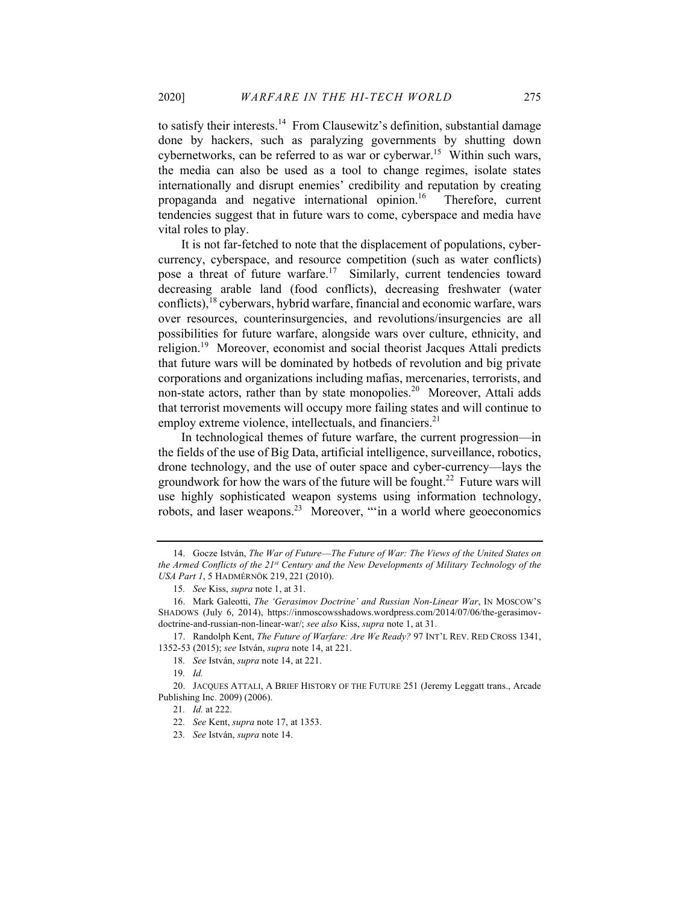to satisfy their interests.<sup>14</sup> From Clausewitz's definition, substantial damage done by hackers, such as paralyzing governments by shutting down cybernetworks, can be referred to as war or cyberwar.<sup>15</sup> Within such wars, the media can also be used as a tool to change regimes, isolate states internationally and disrupt enemies' credibility and reputation by creating propaganda and negative international opinion.<sup>16</sup> Therefore, current tendencies suggest that in future wars to come, cyberspace and media have vital roles to play.

It is not far-fetched to note that the displacement of populations, cybercurrency, cyberspace, and resource competition (such as water conflicts) pose a threat of future warfare.<sup>17</sup> Similarly, current tendencies toward decreasing arable land (food conflicts), decreasing freshwater (water conflicts),  $18$  cyberwars, hybrid warfare, financial and economic warfare, wars over resources, counterinsurgencies, and revolutions/insurgencies are all possibilities for future warfare, alongside wars over culture, ethnicity, and religion.<sup>19</sup> Moreover, economist and social theorist Jacques Attali predicts that future wars will be dominated by hotbeds of revolution and big private corporations and organizations including mafias, mercenaries, terrorists, and non-state actors, rather than by state monopolies.<sup>20</sup> Moreover, Attali adds that terrorist movements will occupy more failing states and will continue to employ extreme violence, intellectuals, and financiers.<sup>21</sup>

In technological themes of future warfare, the current progression—in the fields of the use of Big Data, artificial intelligence, surveillance, robotics, drone technology, and the use of outer space and cyber-currency—lays the groundwork for how the wars of the future will be fought.<sup>22</sup> Future wars will use highly sophisticated weapon systems using information technology, robots, and laser weapons.23 Moreover, "'in a world where geoeconomics

<sup>14.</sup> Gocze István, *The War of Future––The Future of War: The Views of the United States on the Armed Conflicts of the 21st Century and the New Developments of Military Technology of the USA Part 1*, 5 HADMÉRNÖK 219, 221 (2010).

<sup>15</sup>*. See* Kiss, *supra* note 1, at 31.

<sup>16.</sup> Mark Galeotti, *The 'Gerasimov Doctrine' and Russian Non-Linear War*, IN MOSCOW'S SHADOWS (July 6, 2014), https://inmoscowsshadows.wordpress.com/2014/07/06/the-gerasimovdoctrine-and-russian-non-linear-war/; *see also* Kiss, *supra* note 1, at 31.

<sup>17.</sup> Randolph Kent, *The Future of Warfare: Are We Ready?* 97 INT'L REV. RED CROSS 1341, 1352-53 (2015); *see* István, *supra* note 14, at 221.

<sup>18</sup>*. See* István, *supra* note 14, at 221.

<sup>19</sup>*. Id.*

<sup>20.</sup> JACQUES ATTALI, A BRIEF HISTORY OF THE FUTURE 251 (Jeremy Leggatt trans., Arcade Publishing Inc. 2009) (2006).

<sup>21</sup>*. Id.* at 222.

<sup>22</sup>*. See* Kent, *supra* note 17, at 1353.

<sup>23</sup>*. See* István, *supra* note 14.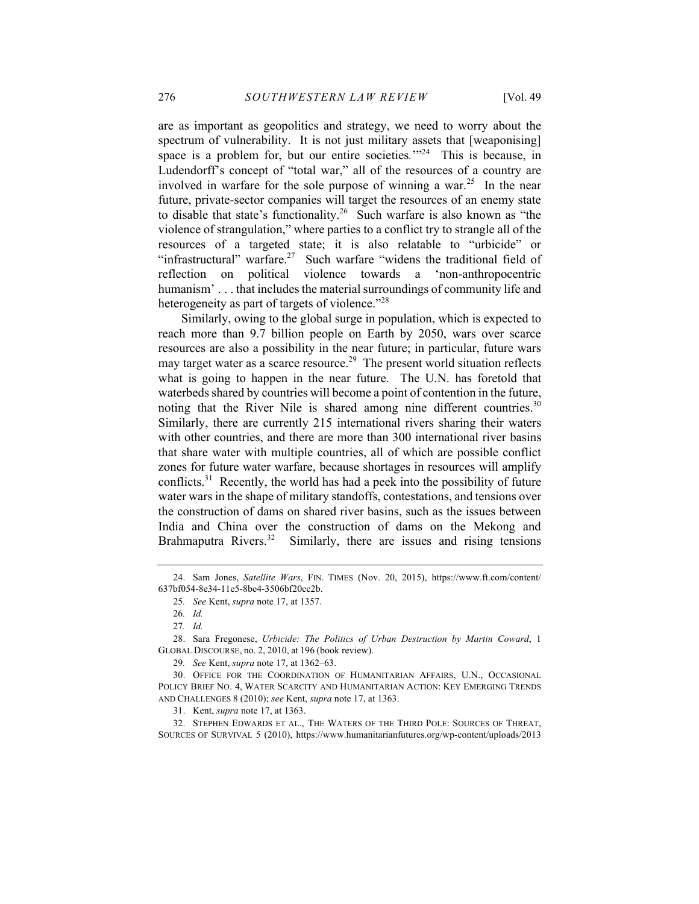are as important as geopolitics and strategy, we need to worry about the spectrum of vulnerability. It is not just military assets that [weaponising] space is a problem for, but our entire societies.<sup>'"24</sup> This is because, in Ludendorff's concept of "total war," all of the resources of a country are involved in warfare for the sole purpose of winning a war.<sup>25</sup> In the near future, private-sector companies will target the resources of an enemy state to disable that state's functionality.<sup>26</sup> Such warfare is also known as "the violence of strangulation," where parties to a conflict try to strangle all of the resources of a targeted state; it is also relatable to "urbicide" or "infrastructural" warfare.<sup>27</sup> Such warfare "widens the traditional field of reflection on political violence towards a 'non-anthropocentric humanism'... that includes the material surroundings of community life and heterogeneity as part of targets of violence."<sup>28</sup>

Similarly, owing to the global surge in population, which is expected to reach more than 9.7 billion people on Earth by 2050, wars over scarce resources are also a possibility in the near future; in particular, future wars may target water as a scarce resource.<sup>29</sup> The present world situation reflects what is going to happen in the near future. The U.N. has foretold that waterbeds shared by countries will become a point of contention in the future, noting that the River Nile is shared among nine different countries.<sup>30</sup> Similarly, there are currently 215 international rivers sharing their waters with other countries, and there are more than 300 international river basins that share water with multiple countries, all of which are possible conflict zones for future water warfare, because shortages in resources will amplify conflicts.<sup>31</sup> Recently, the world has had a peek into the possibility of future water wars in the shape of military standoffs, contestations, and tensions over the construction of dams on shared river basins, such as the issues between India and China over the construction of dams on the Mekong and Brahmaputra Rivers.<sup>32</sup> Similarly, there are issues and rising tensions

32. STEPHEN EDWARDS ET AL., THE WATERS OF THE THIRD POLE: SOURCES OF THREAT, SOURCES OF SURVIVAL 5 (2010), https://www.humanitarianfutures.org/wp-content/uploads/2013

<sup>24.</sup> Sam Jones, *Satellite Wars*, FIN. TIMES (Nov. 20, 2015), https://www.ft.com/content/ 637bf054-8e34-11e5-8be4-3506bf20cc2b.

<sup>25</sup>*. See* Kent, *supra* note 17, at 1357.

<sup>26</sup>*. Id.*

<sup>27</sup>*. Id.*

<sup>28.</sup> Sara Fregonese, *Urbicide: The Politics of Urban Destruction by Martin Coward*, 1 GLOBAL DISCOURSE, no. 2, 2010, at 196 (book review).

<sup>29</sup>*. See* Kent, *supra* note 17, at 1362–63.

<sup>30.</sup> OFFICE FOR THE COORDINATION OF HUMANITARIAN AFFAIRS, U.N., OCCASIONAL POLICY BRIEF NO. 4, WATER SCARCITY AND HUMANITARIAN ACTION: KEY EMERGING TRENDS AND CHALLENGES 8 (2010); *see* Kent, *supra* note 17, at 1363.

<sup>31.</sup> Kent, *supra* note 17, at 1363.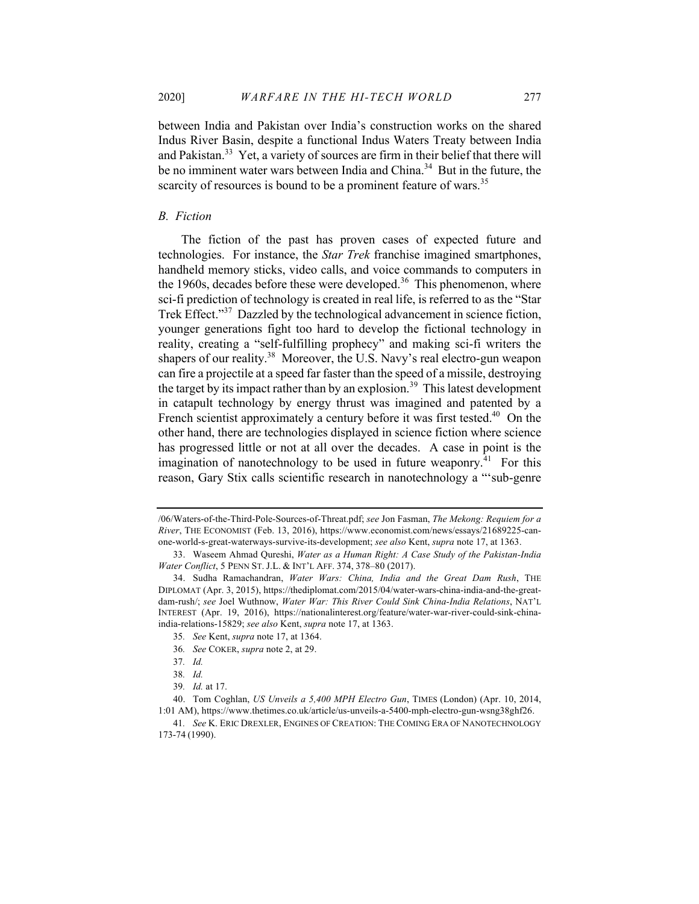between India and Pakistan over India's construction works on the shared Indus River Basin, despite a functional Indus Waters Treaty between India and Pakistan.<sup>33</sup> Yet, a variety of sources are firm in their belief that there will be no imminent water wars between India and China.<sup>34</sup> But in the future, the scarcity of resources is bound to be a prominent feature of wars.<sup>35</sup>

# *B. Fiction*

The fiction of the past has proven cases of expected future and technologies. For instance, the *Star Trek* franchise imagined smartphones, handheld memory sticks, video calls, and voice commands to computers in the 1960s, decades before these were developed.<sup>36</sup> This phenomenon, where sci-fi prediction of technology is created in real life, is referred to as the "Star Trek Effect."<sup>37</sup> Dazzled by the technological advancement in science fiction, younger generations fight too hard to develop the fictional technology in reality, creating a "self-fulfilling prophecy" and making sci-fi writers the shapers of our reality.<sup>38</sup> Moreover, the U.S. Navy's real electro-gun weapon can fire a projectile at a speed far faster than the speed of a missile, destroying the target by its impact rather than by an explosion.<sup>39</sup> This latest development in catapult technology by energy thrust was imagined and patented by a French scientist approximately a century before it was first tested.<sup>40</sup> On the other hand, there are technologies displayed in science fiction where science has progressed little or not at all over the decades. A case in point is the imagination of nanotechnology to be used in future weaponry.<sup>41</sup> For this reason, Gary Stix calls scientific research in nanotechnology a "'sub-genre

<sup>/06/</sup>Waters-of-the-Third-Pole-Sources-of-Threat.pdf; *see* Jon Fasman, *The Mekong: Requiem for a River*, THE ECONOMIST (Feb. 13, 2016), https://www.economist.com/news/essays/21689225-canone-world-s-great-waterways-survive-its-development; *see also* Kent, *supra* note 17, at 1363.

<sup>33.</sup> Waseem Ahmad Qureshi, *Water as a Human Right: A Case Study of the Pakistan-India Water Conflict*, 5 PENN ST. J.L. & INT'L AFF. 374, 378–80 (2017).

<sup>34.</sup> Sudha Ramachandran, *Water Wars: China, India and the Great Dam Rush*, THE DIPLOMAT (Apr. 3, 2015), https://thediplomat.com/2015/04/water-wars-china-india-and-the-greatdam-rush/; *see* Joel Wuthnow, *Water War: This River Could Sink China-India Relations*, NAT'L INTEREST (Apr. 19, 2016), https://nationalinterest.org/feature/water-war-river-could-sink-chinaindia-relations-15829; *see also* Kent, *supra* note 17, at 1363.

<sup>35</sup>*. See* Kent, *supra* note 17, at 1364.

<sup>36</sup>*. See* COKER, *supra* note 2, at 29.

<sup>37</sup>*. Id.*

<sup>38</sup>*. Id.*

<sup>39</sup>*. Id.* at 17.

<sup>40.</sup> Tom Coghlan, *US Unveils a 5,400 MPH Electro Gun*, TIMES (London) (Apr. 10, 2014, 1:01 AM), https://www.thetimes.co.uk/article/us-unveils-a-5400-mph-electro-gun-wsng38ghf26.

<sup>41</sup>*. See* K. ERIC DREXLER, ENGINES OF CREATION: THE COMING ERA OF NANOTECHNOLOGY 173-74 (1990).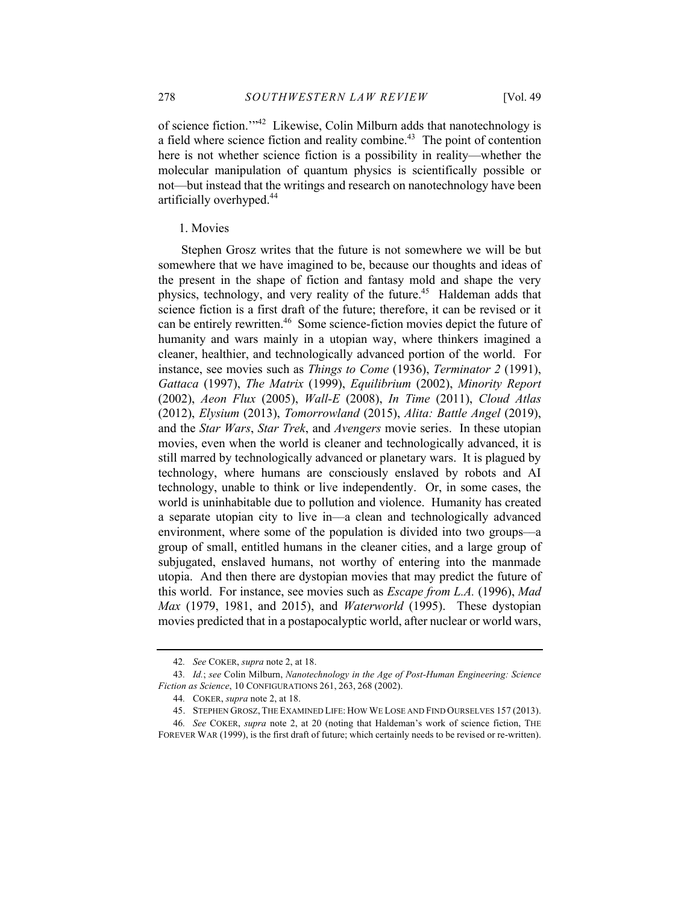of science fiction.'"42 Likewise, Colin Milburn adds that nanotechnology is a field where science fiction and reality combine.<sup>43</sup> The point of contention here is not whether science fiction is a possibility in reality—whether the molecular manipulation of quantum physics is scientifically possible or not—but instead that the writings and research on nanotechnology have been artificially overhyped.<sup>44</sup>

#### 1. Movies

Stephen Grosz writes that the future is not somewhere we will be but somewhere that we have imagined to be, because our thoughts and ideas of the present in the shape of fiction and fantasy mold and shape the very physics, technology, and very reality of the future.<sup>45</sup> Haldeman adds that science fiction is a first draft of the future; therefore, it can be revised or it can be entirely rewritten.<sup>46</sup> Some science-fiction movies depict the future of humanity and wars mainly in a utopian way, where thinkers imagined a cleaner, healthier, and technologically advanced portion of the world. For instance, see movies such as *Things to Come* (1936), *Terminator 2* (1991), *Gattaca* (1997), *The Matrix* (1999), *Equilibrium* (2002), *Minority Report* (2002), *Aeon Flux* (2005), *Wall-E* (2008), *In Time* (2011), *Cloud Atlas* (2012), *Elysium* (2013), *Tomorrowland* (2015), *Alita: Battle Angel* (2019), and the *Star Wars*, *Star Trek*, and *Avengers* movie series. In these utopian movies, even when the world is cleaner and technologically advanced, it is still marred by technologically advanced or planetary wars. It is plagued by technology, where humans are consciously enslaved by robots and AI technology, unable to think or live independently. Or, in some cases, the world is uninhabitable due to pollution and violence. Humanity has created a separate utopian city to live in––a clean and technologically advanced environment, where some of the population is divided into two groups––a group of small, entitled humans in the cleaner cities, and a large group of subjugated, enslaved humans, not worthy of entering into the manmade utopia. And then there are dystopian movies that may predict the future of this world. For instance, see movies such as *Escape from L.A.* (1996), *Mad Max* (1979, 1981, and 2015), and *Waterworld* (1995). These dystopian movies predicted that in a postapocalyptic world, after nuclear or world wars,

<sup>42</sup>*. See* COKER, *supra* note 2, at 18.

<sup>43</sup>*. Id.*; *see* Colin Milburn, *Nanotechnology in the Age of Post-Human Engineering: Science Fiction as Science*, 10 CONFIGURATIONS 261, 263, 268 (2002).

<sup>44</sup>*.* COKER, *supra* note 2, at 18.

<sup>45.</sup> STEPHEN GROSZ, THE EXAMINED LIFE: HOW WE LOSE AND FIND OURSELVES 157 (2013).

<sup>46</sup>*. See* COKER, *supra* note 2, at 20 (noting that Haldeman's work of science fiction, THE FOREVER WAR (1999), is the first draft of future; which certainly needs to be revised or re-written).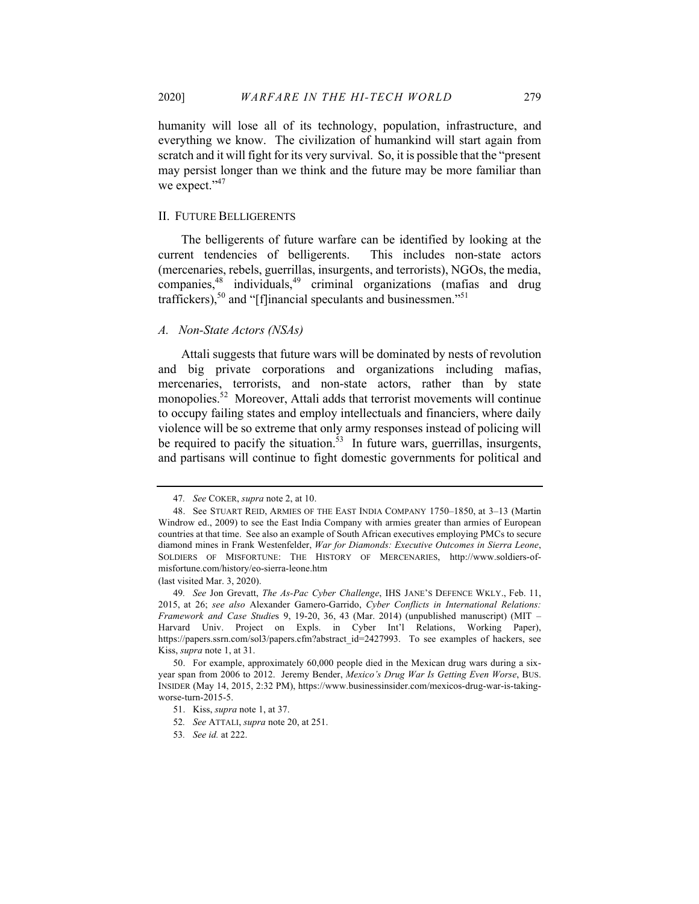humanity will lose all of its technology, population, infrastructure, and everything we know. The civilization of humankind will start again from scratch and it will fight for its very survival. So, it is possible that the "present may persist longer than we think and the future may be more familiar than we expect."<sup>47</sup>

# II. FUTURE BELLIGERENTS

The belligerents of future warfare can be identified by looking at the current tendencies of belligerents. This includes non-state actors (mercenaries, rebels, guerrillas, insurgents, and terrorists), NGOs, the media, companies, $48$  individuals, $49$  criminal organizations (mafias and drug traffickers),<sup>50</sup> and "[f]inancial speculants and businessmen."<sup>51</sup>

#### *A. Non-State Actors (NSAs)*

Attali suggests that future wars will be dominated by nests of revolution and big private corporations and organizations including mafias, mercenaries, terrorists, and non-state actors, rather than by state monopolies.<sup>52</sup> Moreover, Attali adds that terrorist movements will continue to occupy failing states and employ intellectuals and financiers, where daily violence will be so extreme that only army responses instead of policing will be required to pacify the situation.<sup>53</sup> In future wars, guerrillas, insurgents, and partisans will continue to fight domestic governments for political and

(last visited Mar. 3, 2020).

<sup>47</sup>*. See* COKER, *supra* note 2, at 10.

<sup>48.</sup> See STUART REID, ARMIES OF THE EAST INDIA COMPANY 1750–1850, at 3–13 (Martin Windrow ed., 2009) to see the East India Company with armies greater than armies of European countries at that time. See also an example of South African executives employing PMCs to secure diamond mines in Frank Westenfelder, *War for Diamonds: Executive Outcomes in Sierra Leone*, SOLDIERS OF MISFORTUNE: THE HISTORY OF MERCENARIES, http://www.soldiers-ofmisfortune.com/history/eo-sierra-leone.htm

<sup>49</sup>*. See* Jon Grevatt, *The As-Pac Cyber Challenge*, IHS JANE'S DEFENCE WKLY., Feb. 11, 2015, at 26; *see also* Alexander Gamero-Garrido, *Cyber Conflicts in International Relations: Framework and Case Studie*s 9, 19-20, 36, 43 (Mar. 2014) (unpublished manuscript) (MIT – Harvard Univ. Project on Expls. in Cyber Int'l Relations, Working Paper), https://papers.ssrn.com/sol3/papers.cfm?abstract\_id=2427993. To see examples of hackers, see Kiss, *supra* note 1, at 31.

<sup>50.</sup> For example, approximately 60,000 people died in the Mexican drug wars during a sixyear span from 2006 to 2012. Jeremy Bender, *Mexico's Drug War Is Getting Even Worse*, BUS. INSIDER (May 14, 2015, 2:32 PM), https://www.businessinsider.com/mexicos-drug-war-is-takingworse-turn-2015-5.

<sup>51.</sup> Kiss, *supra* note 1, at 37.

<sup>52</sup>*. See* ATTALI, *supra* note 20, at 251.

<sup>53</sup>*. See id.* at 222.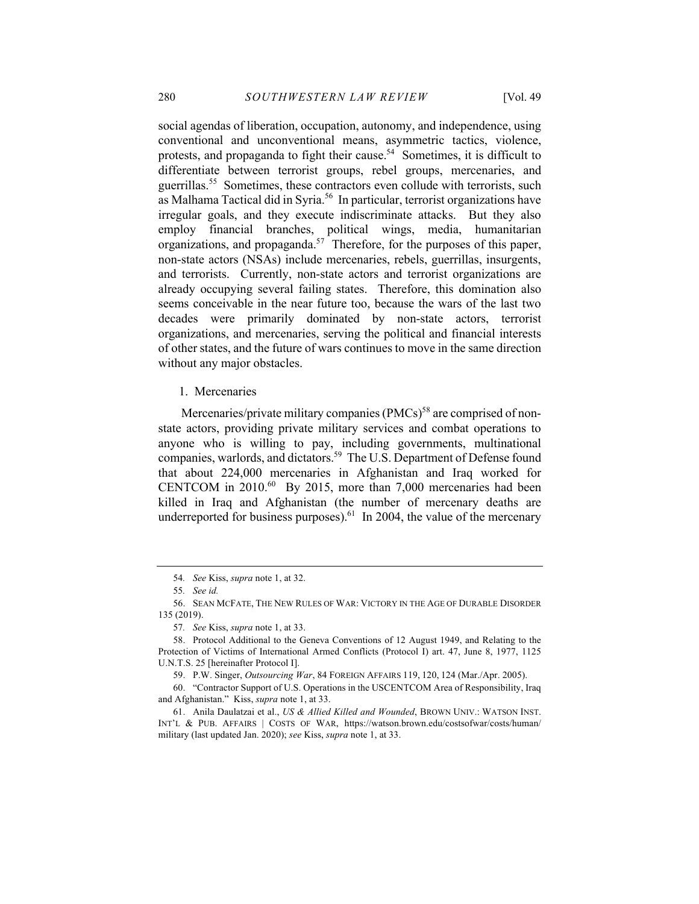social agendas of liberation, occupation, autonomy, and independence, using conventional and unconventional means, asymmetric tactics, violence, protests, and propaganda to fight their cause.<sup>54</sup> Sometimes, it is difficult to differentiate between terrorist groups, rebel groups, mercenaries, and guerrillas.<sup>55</sup> Sometimes, these contractors even collude with terrorists, such as Malhama Tactical did in Syria.<sup>56</sup> In particular, terrorist organizations have irregular goals, and they execute indiscriminate attacks. But they also employ financial branches, political wings, media, humanitarian organizations, and propaganda.57 Therefore, for the purposes of this paper, non-state actors (NSAs) include mercenaries, rebels, guerrillas, insurgents, and terrorists. Currently, non-state actors and terrorist organizations are already occupying several failing states. Therefore, this domination also seems conceivable in the near future too, because the wars of the last two decades were primarily dominated by non-state actors, terrorist organizations, and mercenaries, serving the political and financial interests of other states, and the future of wars continues to move in the same direction without any major obstacles.

1. Mercenaries

Mercenaries/private military companies  $(PMCs)^{58}$  are comprised of nonstate actors, providing private military services and combat operations to anyone who is willing to pay, including governments, multinational companies, warlords, and dictators.<sup>59</sup> The U.S. Department of Defense found that about 224,000 mercenaries in Afghanistan and Iraq worked for CENTCOM in 2010.<sup>60</sup> By 2015, more than 7,000 mercenaries had been killed in Iraq and Afghanistan (the number of mercenary deaths are underreported for business purposes).<sup>61</sup> In 2004, the value of the mercenary

<sup>54</sup>*. See* Kiss, *supra* note 1, at 32.

<sup>55</sup>*. See id.*

<sup>56.</sup> SEAN MCFATE, THE NEW RULES OF WAR: VICTORY IN THE AGE OF DURABLE DISORDER 135 (2019).

<sup>57</sup>*. See* Kiss, *supra* note 1, at 33.

<sup>58.</sup> Protocol Additional to the Geneva Conventions of 12 August 1949, and Relating to the Protection of Victims of International Armed Conflicts (Protocol I) art. 47, June 8, 1977, 1125 U.N.T.S. 25 [hereinafter Protocol I].

<sup>59.</sup> P.W. Singer, *Outsourcing War*, 84 FOREIGN AFFAIRS 119, 120, 124 (Mar./Apr. 2005).

<sup>60.</sup> "Contractor Support of U.S. Operations in the USCENTCOM Area of Responsibility, Iraq and Afghanistan." Kiss, *supra* note 1, at 33.

<sup>61.</sup> Anila Daulatzai et al., *US & Allied Killed and Wounded*, BROWN UNIV.: WATSON INST. INT'L & PUB. AFFAIRS | COSTS OF WAR, https://watson.brown.edu/costsofwar/costs/human/ military (last updated Jan. 2020); *see* Kiss, *supra* note 1, at 33.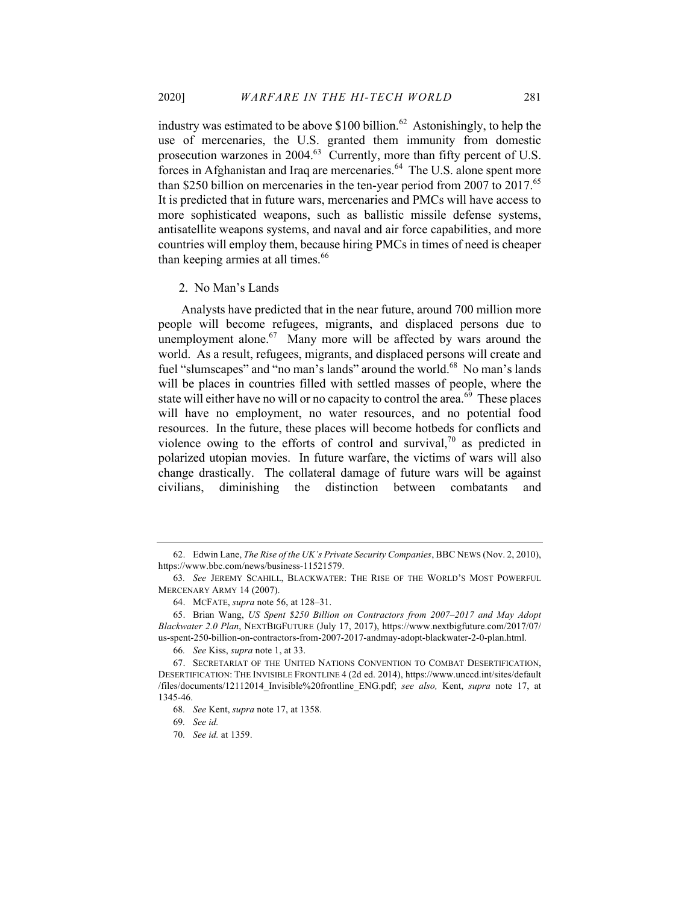industry was estimated to be above  $$100$  billion.<sup>62</sup> Astonishingly, to help the use of mercenaries, the U.S. granted them immunity from domestic prosecution warzones in 2004.<sup>63</sup> Currently, more than fifty percent of U.S. forces in Afghanistan and Iraq are mercenaries.<sup>64</sup> The U.S. alone spent more than \$250 billion on mercenaries in the ten-year period from 2007 to 2017.<sup>65</sup> It is predicted that in future wars, mercenaries and PMCs will have access to more sophisticated weapons, such as ballistic missile defense systems, antisatellite weapons systems, and naval and air force capabilities, and more countries will employ them, because hiring PMCs in times of need is cheaper than keeping armies at all times.<sup>66</sup>

2. No Man's Lands

Analysts have predicted that in the near future, around 700 million more people will become refugees, migrants, and displaced persons due to unemployment alone. $67$  Many more will be affected by wars around the world. As a result, refugees, migrants, and displaced persons will create and fuel "slumscapes" and "no man's lands" around the world.<sup>68</sup> No man's lands will be places in countries filled with settled masses of people, where the state will either have no will or no capacity to control the area.<sup>69</sup> These places will have no employment, no water resources, and no potential food resources. In the future, these places will become hotbeds for conflicts and violence owing to the efforts of control and survival, $70$  as predicted in polarized utopian movies. In future warfare, the victims of wars will also change drastically. The collateral damage of future wars will be against civilians, diminishing the distinction between combatants and

<sup>62.</sup> Edwin Lane, *The Rise of the UK's Private Security Companies*, BBC NEWS (Nov. 2, 2010), https://www.bbc.com/news/business-11521579.

<sup>63</sup>*. See* JEREMY SCAHILL, BLACKWATER: THE RISE OF THE WORLD'S MOST POWERFUL MERCENARY ARMY 14 (2007).

<sup>64.</sup> MCFATE, *supra* note 56, at 128–31.

<sup>65.</sup> Brian Wang, *US Spent \$250 Billion on Contractors from 2007–2017 and May Adopt Blackwater 2.0 Plan*, NEXTBIGFUTURE (July 17, 2017), https://www.nextbigfuture.com/2017/07/ us-spent-250-billion-on-contractors-from-2007-2017-andmay-adopt-blackwater-2-0-plan.html.

<sup>66</sup>*. See* Kiss, *supra* note 1, at 33.

<sup>67.</sup> SECRETARIAT OF THE UNITED NATIONS CONVENTION TO COMBAT DESERTIFICATION, DESERTIFICATION: THE INVISIBLE FRONTLINE 4 (2d ed. 2014), https://www.unccd.int/sites/default /files/documents/12112014\_Invisible%20frontline\_ENG.pdf; *see also,* Kent, *supra* note 17, at 1345-46.

<sup>68</sup>*. See* Kent, *supra* note 17, at 1358.

<sup>69</sup>*. See id.*

<sup>70</sup>*. See id.* at 1359.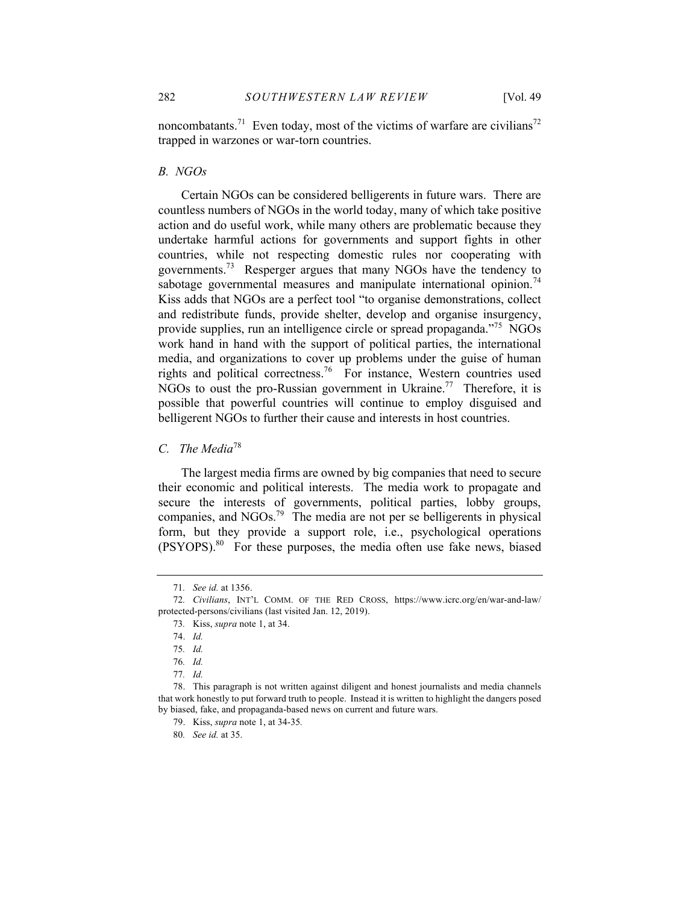noncombatants.<sup>71</sup> Even today, most of the victims of warfare are civilians<sup>72</sup> trapped in warzones or war-torn countries.

#### *B. NGOs*

Certain NGOs can be considered belligerents in future wars. There are countless numbers of NGOs in the world today, many of which take positive action and do useful work, while many others are problematic because they undertake harmful actions for governments and support fights in other countries, while not respecting domestic rules nor cooperating with governments.<sup>73</sup> Resperger argues that many NGOs have the tendency to sabotage governmental measures and manipulate international opinion.<sup>74</sup> Kiss adds that NGOs are a perfect tool "to organise demonstrations, collect and redistribute funds, provide shelter, develop and organise insurgency, provide supplies, run an intelligence circle or spread propaganda."75 NGOs work hand in hand with the support of political parties, the international media, and organizations to cover up problems under the guise of human rights and political correctness.<sup>76</sup> For instance, Western countries used NGOs to oust the pro-Russian government in Ukraine.<sup>77</sup> Therefore, it is possible that powerful countries will continue to employ disguised and belligerent NGOs to further their cause and interests in host countries.

# *C. The Media*<sup>78</sup>

The largest media firms are owned by big companies that need to secure their economic and political interests. The media work to propagate and secure the interests of governments, political parties, lobby groups, companies, and  $NGOs.<sup>79</sup>$  The media are not per se belligerents in physical form, but they provide a support role, i.e., psychological operations  $(PSYOPS)$ .<sup>80</sup> For these purposes, the media often use fake news, biased

<sup>71</sup>*. See id.* at 1356.

<sup>72</sup>*. Civilians*, INT'L COMM. OF THE RED CROSS, https://www.icrc.org/en/war-and-law/ protected-persons/civilians (last visited Jan. 12, 2019).

<sup>73</sup>*.* Kiss, *supra* note 1, at 34.

<sup>74.</sup> *Id.*

<sup>75</sup>*. Id.*

<sup>76</sup>*. Id.*

<sup>77</sup>*. Id.*

<sup>78.</sup> This paragraph is not written against diligent and honest journalists and media channels that work honestly to put forward truth to people. Instead it is written to highlight the dangers posed by biased, fake, and propaganda-based news on current and future wars.

<sup>79.</sup> Kiss, *supra* note 1, at 34-35*.*

<sup>80</sup>*. See id.* at 35.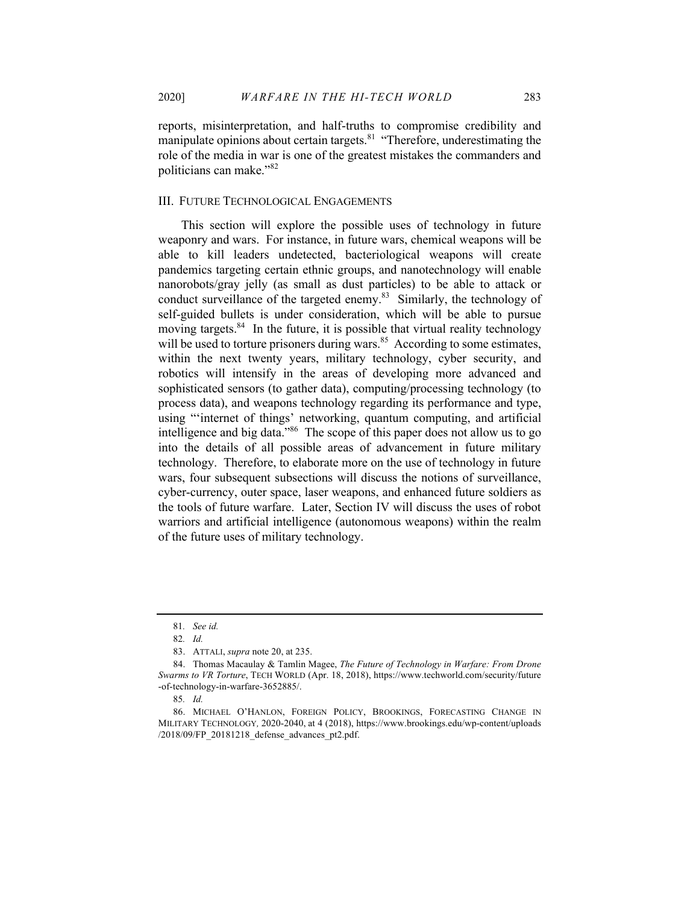reports, misinterpretation, and half-truths to compromise credibility and manipulate opinions about certain targets. $81$  "Therefore, underestimating the role of the media in war is one of the greatest mistakes the commanders and politicians can make."<sup>82</sup>

#### III. FUTURE TECHNOLOGICAL ENGAGEMENTS

This section will explore the possible uses of technology in future weaponry and wars. For instance, in future wars, chemical weapons will be able to kill leaders undetected, bacteriological weapons will create pandemics targeting certain ethnic groups, and nanotechnology will enable nanorobots/gray jelly (as small as dust particles) to be able to attack or conduct surveillance of the targeted enemy.<sup>83</sup> Similarly, the technology of self-guided bullets is under consideration, which will be able to pursue moving targets.<sup>84</sup> In the future, it is possible that virtual reality technology will be used to torture prisoners during wars. $85$  According to some estimates, within the next twenty years, military technology, cyber security, and robotics will intensify in the areas of developing more advanced and sophisticated sensors (to gather data), computing/processing technology (to process data), and weapons technology regarding its performance and type, using "'internet of things' networking, quantum computing, and artificial intelligence and big data."86 The scope of this paper does not allow us to go into the details of all possible areas of advancement in future military technology. Therefore, to elaborate more on the use of technology in future wars, four subsequent subsections will discuss the notions of surveillance, cyber-currency, outer space, laser weapons, and enhanced future soldiers as the tools of future warfare. Later, Section IV will discuss the uses of robot warriors and artificial intelligence (autonomous weapons) within the realm of the future uses of military technology.

<sup>81</sup>*. See id.*

<sup>82</sup>*. Id.*

<sup>83.</sup> ATTALI, *supra* note 20, at 235.

<sup>84.</sup> Thomas Macaulay & Tamlin Magee, *The Future of Technology in Warfare: From Drone Swarms to VR Torture*, TECH WORLD (Apr. 18, 2018), https://www.techworld.com/security/future -of-technology-in-warfare-3652885/.

<sup>85</sup>*. Id.*

<sup>86.</sup> MICHAEL O'HANLON, FOREIGN POLICY, BROOKINGS, FORECASTING CHANGE IN MILITARY TECHNOLOGY*,* 2020-2040, at 4 (2018), https://www.brookings.edu/wp-content/uploads /2018/09/FP\_20181218\_defense\_advances\_pt2.pdf.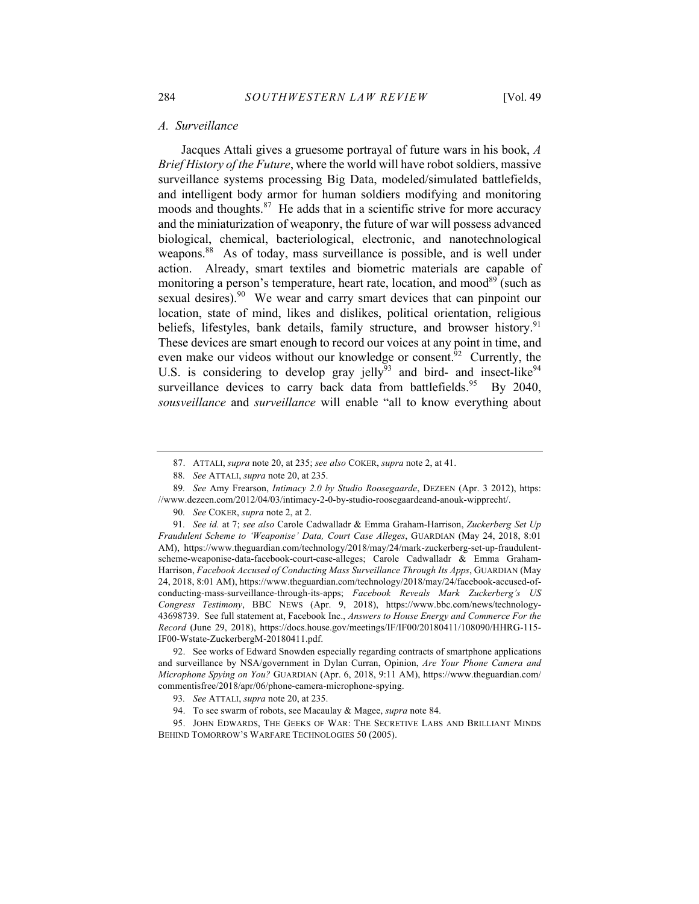#### *A. Surveillance*

Jacques Attali gives a gruesome portrayal of future wars in his book, *A Brief History of the Future*, where the world will have robot soldiers, massive surveillance systems processing Big Data, modeled/simulated battlefields, and intelligent body armor for human soldiers modifying and monitoring moods and thoughts. $87$  He adds that in a scientific strive for more accuracy and the miniaturization of weaponry, the future of war will possess advanced biological, chemical, bacteriological, electronic, and nanotechnological weapons.<sup>88</sup> As of today, mass surveillance is possible, and is well under action. Already, smart textiles and biometric materials are capable of monitoring a person's temperature, heart rate, location, and mood<sup>89</sup> (such as sexual desires).<sup>90</sup> We wear and carry smart devices that can pinpoint our location, state of mind, likes and dislikes, political orientation, religious beliefs, lifestyles, bank details, family structure, and browser history.<sup>91</sup> These devices are smart enough to record our voices at any point in time, and even make our videos without our knowledge or consent.<sup>92</sup> Currently, the U.S. is considering to develop gray jelly<sup> $\bar{9}3$ </sup> and bird- and insect-like<sup>94</sup> surveillance devices to carry back data from battlefields.<sup>95</sup> By 2040, *sousveillance* and *surveillance* will enable "all to know everything about

<sup>87.</sup> ATTALI, *supra* note 20, at 235; *see also* COKER, *supra* note 2, at 41.

<sup>88</sup>*. See* ATTALI, *supra* note 20, at 235.

<sup>89</sup>*. See* Amy Frearson, *Intimacy 2.0 by Studio Roosegaarde*, DEZEEN (Apr. 3 2012), https: //www.dezeen.com/2012/04/03/intimacy-2-0-by-studio-roosegaardeand-anouk-wipprecht/.

<sup>90</sup>*. See* COKER, *supra* note 2, at 2.

<sup>91</sup>*. See id.* at 7; *see also* Carole Cadwalladr & Emma Graham-Harrison, *Zuckerberg Set Up Fraudulent Scheme to 'Weaponise' Data, Court Case Alleges*, GUARDIAN (May 24, 2018, 8:01 AM), https://www.theguardian.com/technology/2018/may/24/mark-zuckerberg-set-up-fraudulentscheme-weaponise-data-facebook-court-case-alleges; Carole Cadwalladr & Emma Graham-Harrison, *Facebook Accused of Conducting Mass Surveillance Through Its Apps*, GUARDIAN (May 24, 2018, 8:01 AM), https://www.theguardian.com/technology/2018/may/24/facebook-accused-ofconducting-mass-surveillance-through-its-apps; *Facebook Reveals Mark Zuckerberg's US Congress Testimony*, BBC NEWS (Apr. 9, 2018), https://www.bbc.com/news/technology-43698739. See full statement at, Facebook Inc., *Answers to House Energy and Commerce For the Record* (June 29, 2018), https://docs.house.gov/meetings/IF/IF00/20180411/108090/HHRG-115- IF00-Wstate-ZuckerbergM-20180411.pdf.

<sup>92.</sup> See works of Edward Snowden especially regarding contracts of smartphone applications and surveillance by NSA/government in Dylan Curran, Opinion, *Are Your Phone Camera and Microphone Spying on You?* GUARDIAN (Apr. 6, 2018, 9:11 AM), https://www.theguardian.com/ commentisfree/2018/apr/06/phone-camera-microphone-spying.

<sup>93</sup>*. See* ATTALI, *supra* note 20, at 235.

<sup>94.</sup> To see swarm of robots, see Macaulay & Magee, *supra* note 84.

<sup>95.</sup> JOHN EDWARDS, THE GEEKS OF WAR: THE SECRETIVE LABS AND BRILLIANT MINDS BEHIND TOMORROW'S WARFARE TECHNOLOGIES 50 (2005).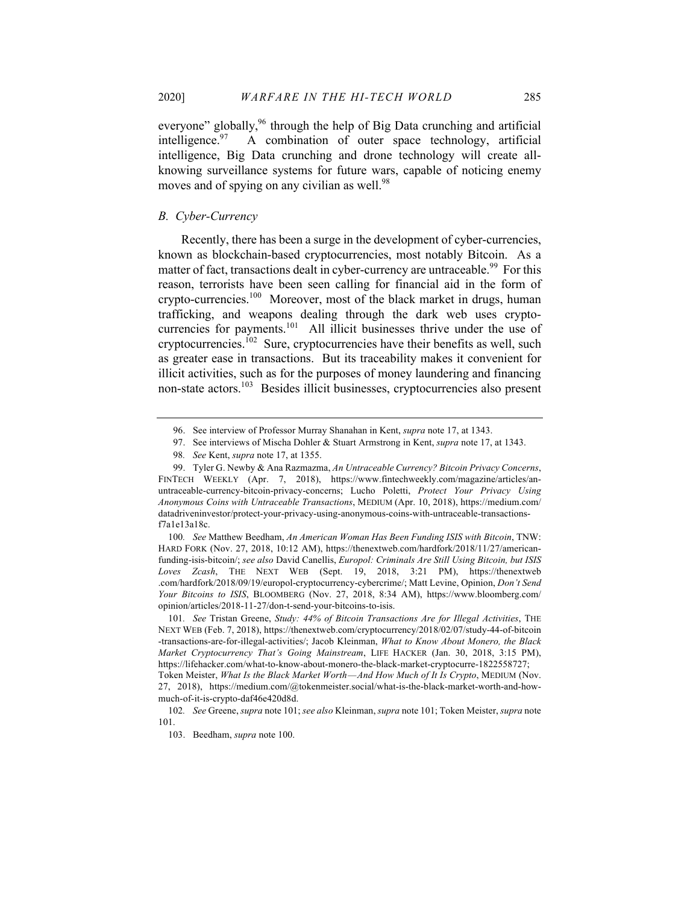everyone" globally,<sup>96</sup> through the help of Big Data crunching and artificial intelligence.  $97$  A combination of outer space technology, artificial intelligence, Big Data crunching and drone technology will create allknowing surveillance systems for future wars, capable of noticing enemy moves and of spying on any civilian as well.<sup>98</sup>

#### *B. Cyber-Currency*

Recently, there has been a surge in the development of cyber-currencies, known as blockchain-based cryptocurrencies, most notably Bitcoin. As a matter of fact, transactions dealt in cyber-currency are untraceable.<sup>99</sup> For this reason, terrorists have been seen calling for financial aid in the form of crypto-currencies.<sup>100</sup> Moreover, most of the black market in drugs, human trafficking, and weapons dealing through the dark web uses cryptocurrencies for payments.<sup>101</sup> All illicit businesses thrive under the use of cryptocurrencies.<sup>102</sup> Sure, cryptocurrencies have their benefits as well, such as greater ease in transactions. But its traceability makes it convenient for illicit activities, such as for the purposes of money laundering and financing non-state actors.<sup>103</sup> Besides illicit businesses, cryptocurrencies also present

100*. See* Matthew Beedham, *An American Woman Has Been Funding ISIS with Bitcoin*, TNW: HARD FORK (Nov. 27, 2018, 10:12 AM), https://thenextweb.com/hardfork/2018/11/27/americanfunding-isis-bitcoin/; *see also* David Canellis, *Europol: Criminals Are Still Using Bitcoin, but ISIS Loves Zcash*, THE NEXT WEB (Sept. 19, 2018, 3:21 PM), https://thenextweb .com/hardfork/2018/09/19/europol-cryptocurrency-cybercrime/; Matt Levine, Opinion, *Don't Send Your Bitcoins to ISIS*, BLOOMBERG (Nov. 27, 2018, 8:34 AM), https://www.bloomberg.com/ opinion/articles/2018-11-27/don-t-send-your-bitcoins-to-isis.

101*. See* Tristan Greene, *Study: 44% of Bitcoin Transactions Are for Illegal Activities*, THE NEXT WEB (Feb. 7, 2018), https://thenextweb.com/cryptocurrency/2018/02/07/study-44-of-bitcoin -transactions-are-for-illegal-activities/; Jacob Kleinman, *What to Know About Monero, the Black Market Cryptocurrency That's Going Mainstream*, LIFE HACKER (Jan. 30, 2018, 3:15 PM), https://lifehacker.com/what-to-know-about-monero-the-black-market-cryptocurre-1822558727;

Token Meister, *What Is the Black Market Worth — And How Much of It Is Crypto*, MEDIUM (Nov. 27, 2018), https://medium.com/@tokenmeister.social/what-is-the-black-market-worth-and-howmuch-of-it-is-crypto-daf46e420d8d.

<sup>96.</sup> See interview of Professor Murray Shanahan in Kent, *supra* note 17, at 1343.

<sup>97.</sup> See interviews of Mischa Dohler & Stuart Armstrong in Kent, *supra* note 17, at 1343.

<sup>98</sup>*. See* Kent, *supra* note 17, at 1355.

<sup>99.</sup> Tyler G. Newby & Ana Razmazma, *An Untraceable Currency? Bitcoin Privacy Concerns*, FINTECH WEEKLY (Apr. 7, 2018), https://www.fintechweekly.com/magazine/articles/anuntraceable-currency-bitcoin-privacy-concerns; Lucho Poletti, *Protect Your Privacy Using Anonymous Coins with Untraceable Transactions*, MEDIUM (Apr. 10, 2018), https://medium.com/ datadriveninvestor/protect-your-privacy-using-anonymous-coins-with-untraceable-transactionsf7a1e13a18c.

<sup>102</sup>*. See* Greene, *supra* note 101; *see also* Kleinman, *supra* note 101; Token Meister, *supra* note 101.

<sup>103.</sup> Beedham, *supra* note 100.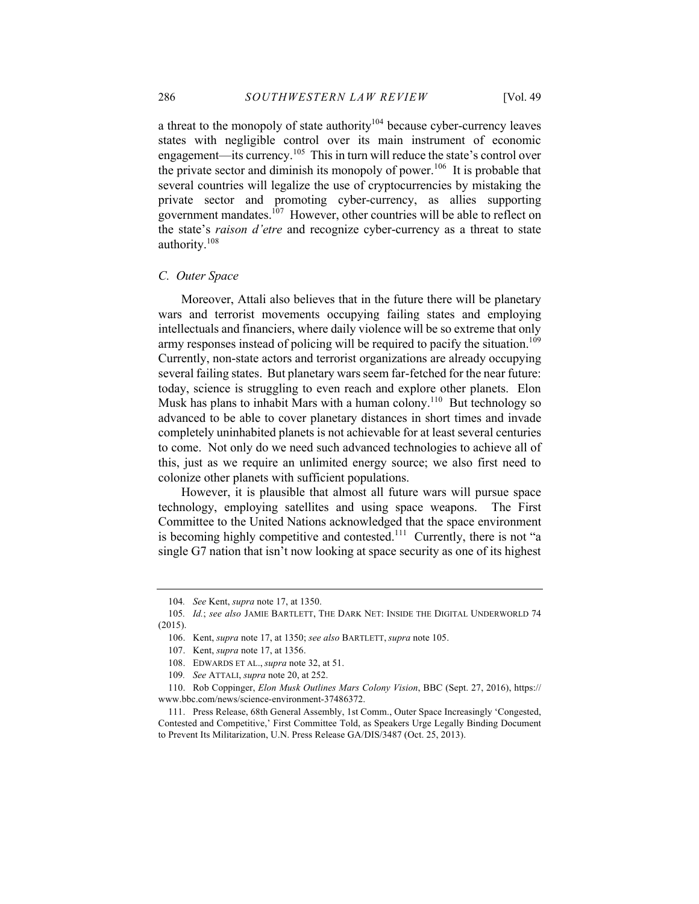a threat to the monopoly of state authority $104$  because cyber-currency leaves states with negligible control over its main instrument of economic engagement—its currency.105 This in turn will reduce the state's control over the private sector and diminish its monopoly of power.<sup>106</sup> It is probable that several countries will legalize the use of cryptocurrencies by mistaking the private sector and promoting cyber-currency, as allies supporting government mandates. $107$  However, other countries will be able to reflect on the state's *raison d'etre* and recognize cyber-currency as a threat to state authority.<sup>108</sup>

#### *C. Outer Space*

Moreover, Attali also believes that in the future there will be planetary wars and terrorist movements occupying failing states and employing intellectuals and financiers, where daily violence will be so extreme that only army responses instead of policing will be required to pacify the situation.<sup>109</sup> Currently, non-state actors and terrorist organizations are already occupying several failing states. But planetary wars seem far-fetched for the near future: today, science is struggling to even reach and explore other planets. Elon Musk has plans to inhabit Mars with a human colony.<sup>110</sup> But technology so advanced to be able to cover planetary distances in short times and invade completely uninhabited planets is not achievable for at least several centuries to come. Not only do we need such advanced technologies to achieve all of this, just as we require an unlimited energy source; we also first need to colonize other planets with sufficient populations.

However, it is plausible that almost all future wars will pursue space technology, employing satellites and using space weapons. The First Committee to the United Nations acknowledged that the space environment is becoming highly competitive and contested.<sup>111</sup> Currently, there is not "a single G7 nation that isn't now looking at space security as one of its highest

<sup>104</sup>*. See* Kent, *supra* note 17, at 1350.

<sup>105</sup>*. Id.*; *see also* JAMIE BARTLETT, THE DARK NET: INSIDE THE DIGITAL UNDERWORLD 74 (2015).

<sup>106.</sup> Kent, *supra* note 17, at 1350; *see also* BARTLETT, *supra* note 105.

<sup>107.</sup> Kent, *supra* note 17, at 1356.

<sup>108.</sup> EDWARDS ET AL., *supra* note 32, at 51.

<sup>109</sup>*. See* ATTALI, *supra* note 20, at 252.

<sup>110.</sup> Rob Coppinger, *Elon Musk Outlines Mars Colony Vision*, BBC (Sept. 27, 2016), https:// www.bbc.com/news/science-environment-37486372.

<sup>111.</sup> Press Release, 68th General Assembly, 1st Comm., Outer Space Increasingly 'Congested, Contested and Competitive,' First Committee Told, as Speakers Urge Legally Binding Document to Prevent Its Militarization, U.N. Press Release GA/DIS/3487 (Oct. 25, 2013).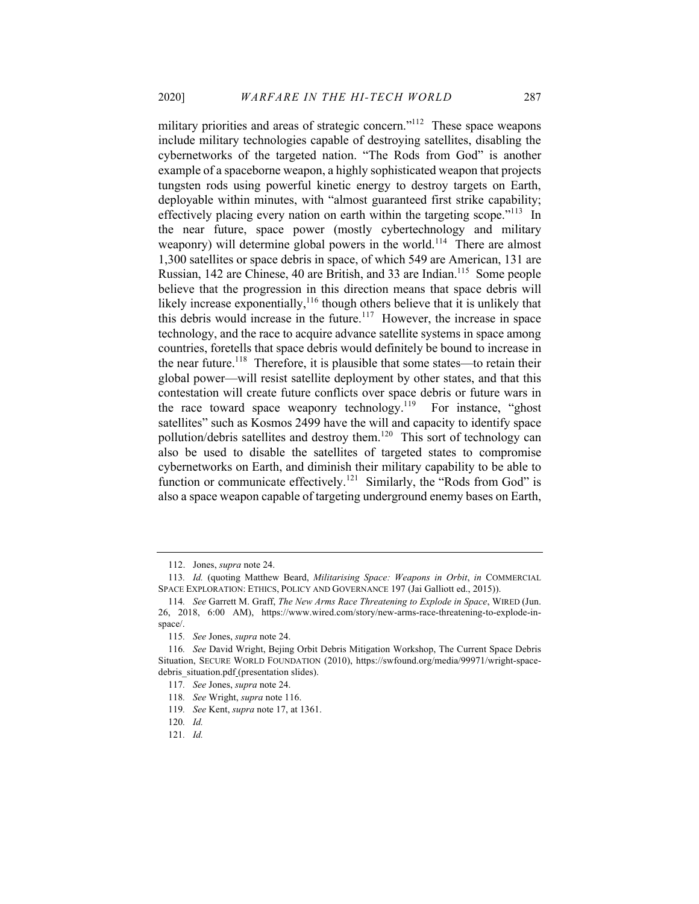military priorities and areas of strategic concern."<sup>112</sup> These space weapons include military technologies capable of destroying satellites, disabling the cybernetworks of the targeted nation. "The Rods from God" is another example of a spaceborne weapon, a highly sophisticated weapon that projects tungsten rods using powerful kinetic energy to destroy targets on Earth, deployable within minutes, with "almost guaranteed first strike capability; effectively placing every nation on earth within the targeting scope."<sup>113</sup> In the near future, space power (mostly cybertechnology and military weaponry) will determine global powers in the world.<sup>114</sup> There are almost 1,300 satellites or space debris in space, of which 549 are American, 131 are Russian, 142 are Chinese, 40 are British, and 33 are Indian.<sup>115</sup> Some people believe that the progression in this direction means that space debris will likely increase exponentially, $116$  though others believe that it is unlikely that this debris would increase in the future.<sup>117</sup> However, the increase in space technology, and the race to acquire advance satellite systems in space among countries, foretells that space debris would definitely be bound to increase in the near future.<sup>118</sup> Therefore, it is plausible that some states—to retain their global power—will resist satellite deployment by other states, and that this contestation will create future conflicts over space debris or future wars in the race toward space weaponry technology.<sup>119</sup> For instance, "ghost" satellites" such as Kosmos 2499 have the will and capacity to identify space pollution/debris satellites and destroy them.<sup>120</sup> This sort of technology can also be used to disable the satellites of targeted states to compromise cybernetworks on Earth, and diminish their military capability to be able to function or communicate effectively.<sup>121</sup> Similarly, the "Rods from God" is also a space weapon capable of targeting underground enemy bases on Earth,

<sup>112.</sup> Jones, *supra* note 24.

<sup>113</sup>*. Id.* (quoting Matthew Beard, *Militarising Space: Weapons in Orbit*, *in* COMMERCIAL SPACE EXPLORATION: ETHICS, POLICY AND GOVERNANCE 197 (Jai Galliott ed., 2015)).

<sup>114</sup>*. See* Garrett M. Graff, *The New Arms Race Threatening to Explode in Space*, WIRED (Jun. 26, 2018, 6:00 AM), https://www.wired.com/story/new-arms-race-threatening-to-explode-inspace/.

<sup>115</sup>*. See* Jones, *supra* note 24.

<sup>116</sup>*. See* David Wright, Bejing Orbit Debris Mitigation Workshop, The Current Space Debris Situation, SECURE WORLD FOUNDATION (2010), https://swfound.org/media/99971/wright-spacedebris situation.pdf (presentation slides).

<sup>117</sup>*. See* Jones, *supra* note 24.

<sup>118</sup>*. See* Wright, *supra* note 116.

<sup>119</sup>*. See* Kent, *supra* note 17, at 1361.

<sup>120</sup>*. Id.*

<sup>121</sup>*. Id.*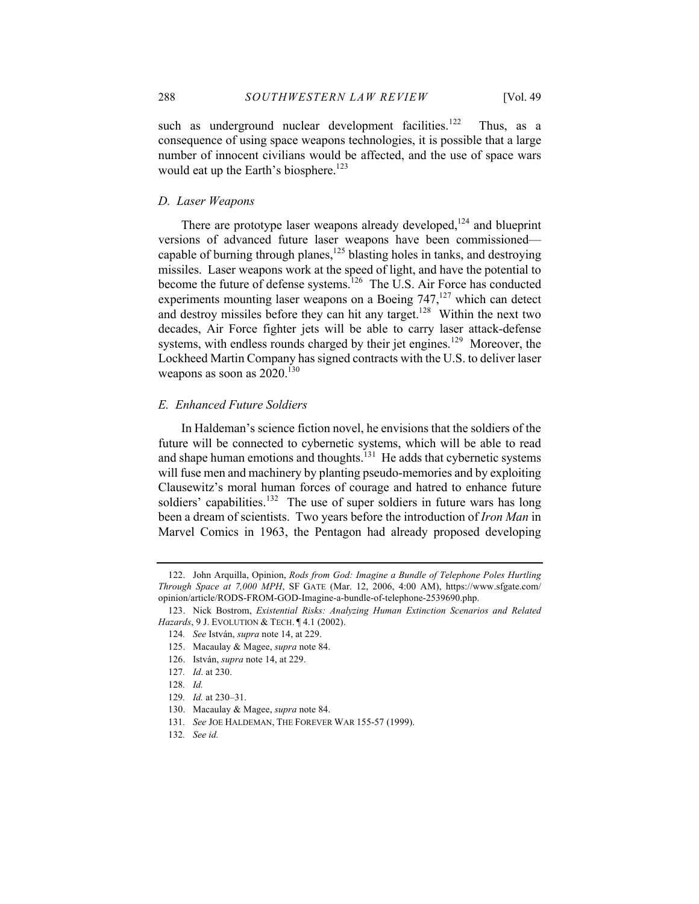such as underground nuclear development facilities.<sup>122</sup> Thus, as a consequence of using space weapons technologies, it is possible that a large number of innocent civilians would be affected, and the use of space wars would eat up the Earth's biosphere.<sup>123</sup>

#### *D. Laser Weapons*

There are prototype laser weapons already developed, $124$  and blueprint versions of advanced future laser weapons have been commissioned capable of burning through planes, <sup>125</sup> blasting holes in tanks, and destroying missiles. Laser weapons work at the speed of light, and have the potential to become the future of defense systems.<sup>126</sup> The U.S. Air Force has conducted experiments mounting laser weapons on a Boeing  $747$ ,<sup>127</sup> which can detect and destroy missiles before they can hit any target.<sup>128</sup> Within the next two decades, Air Force fighter jets will be able to carry laser attack-defense systems, with endless rounds charged by their jet engines.<sup>129</sup> Moreover, the Lockheed Martin Company has signed contracts with the U.S. to deliver laser weapons as soon as  $2020^{130}$ 

#### *E. Enhanced Future Soldiers*

In Haldeman's science fiction novel, he envisions that the soldiers of the future will be connected to cybernetic systems, which will be able to read and shape human emotions and thoughts.<sup>131</sup> He adds that cybernetic systems will fuse men and machinery by planting pseudo-memories and by exploiting Clausewitz's moral human forces of courage and hatred to enhance future soldiers' capabilities.<sup>132</sup> The use of super soldiers in future wars has long been a dream of scientists. Two years before the introduction of *Iron Man* in Marvel Comics in 1963, the Pentagon had already proposed developing

<sup>122.</sup> John Arquilla, Opinion, *Rods from God: Imagine a Bundle of Telephone Poles Hurtling Through Space at 7,000 MPH*, SF GATE (Mar. 12, 2006, 4:00 AM), https://www.sfgate.com/ opinion/article/RODS-FROM-GOD-Imagine-a-bundle-of-telephone-2539690.php.

<sup>123.</sup> Nick Bostrom, *Existential Risks: Analyzing Human Extinction Scenarios and Related Hazards*, 9 J. EVOLUTION & TECH. ¶ 4.1 (2002).

<sup>124</sup>*. See* István, *supra* note 14, at 229.

<sup>125.</sup> Macaulay & Magee, *supra* note 84.

<sup>126.</sup> István, *supra* note 14, at 229.

<sup>127</sup>*. Id*. at 230.

<sup>128</sup>*. Id.*

<sup>129</sup>*. Id.* at 230–31.

<sup>130.</sup> Macaulay & Magee, *supra* note 84.

<sup>131</sup>*. See* JOE HALDEMAN, THE FOREVER WAR 155-57 (1999).

<sup>132</sup>*. See id.*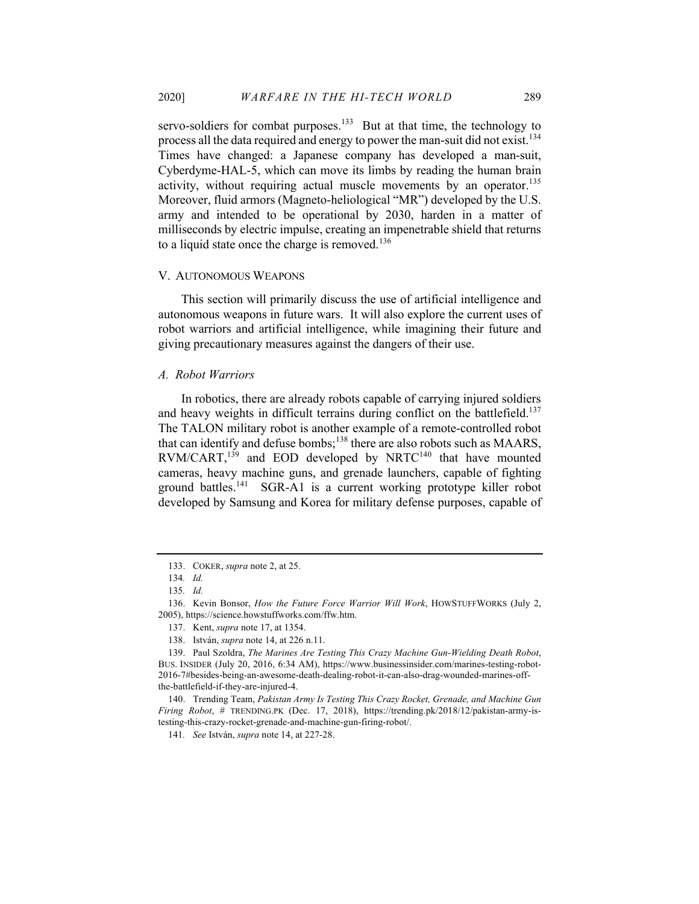servo-soldiers for combat purposes. $133$  But at that time, the technology to process all the data required and energy to power the man-suit did not exist.<sup>134</sup> Times have changed: a Japanese company has developed a man-suit, Cyberdyme-HAL-5, which can move its limbs by reading the human brain activity, without requiring actual muscle movements by an operator.<sup>135</sup> Moreover, fluid armors (Magneto-heliological "MR") developed by the U.S. army and intended to be operational by 2030, harden in a matter of milliseconds by electric impulse, creating an impenetrable shield that returns to a liquid state once the charge is removed.<sup>136</sup>

# V. AUTONOMOUS WEAPONS

This section will primarily discuss the use of artificial intelligence and autonomous weapons in future wars. It will also explore the current uses of robot warriors and artificial intelligence, while imagining their future and giving precautionary measures against the dangers of their use.

#### *A. Robot Warriors*

In robotics, there are already robots capable of carrying injured soldiers and heavy weights in difficult terrains during conflict on the battlefield.<sup>137</sup> The TALON military robot is another example of a remote-controlled robot that can identify and defuse bombs;<sup>138</sup> there are also robots such as MAARS,  $RVM/CART$ ,<sup>139</sup> and EOD developed by NRTC<sup>140</sup> that have mounted cameras, heavy machine guns, and grenade launchers, capable of fighting ground battles.<sup>141</sup> SGR-A1 is a current working prototype killer robot developed by Samsung and Korea for military defense purposes, capable of

<sup>133.</sup> COKER, *supra* note 2, at 25.

<sup>134</sup>*. Id.*

<sup>135</sup>*. Id.*

<sup>136.</sup> Kevin Bonsor, *How the Future Force Warrior Will Work*, HOWSTUFFWORKS (July 2, 2005), https://science.howstuffworks.com/ffw.htm.

<sup>137.</sup> Kent, *supra* note 17, at 1354.

<sup>138.</sup> István, *supra* note 14, at 226 n.11.

<sup>139.</sup> Paul Szoldra, *The Marines Are Testing This Crazy Machine Gun-Wielding Death Robot*, BUS. INSIDER (July 20, 2016, 6:34 AM), https://www.businessinsider.com/marines-testing-robot-2016-7#besides-being-an-awesome-death-dealing-robot-it-can-also-drag-wounded-marines-offthe-battlefield-if-they-are-injured-4.

<sup>140.</sup> Trending Team, *Pakistan Army Is Testing This Crazy Rocket, Grenade, and Machine Gun Firing Robot*, # TRENDING.PK (Dec. 17, 2018), https://trending.pk/2018/12/pakistan-army-istesting-this-crazy-rocket-grenade-and-machine-gun-firing-robot/.

<sup>141</sup>*. See* István, *supra* note 14, at 227-28.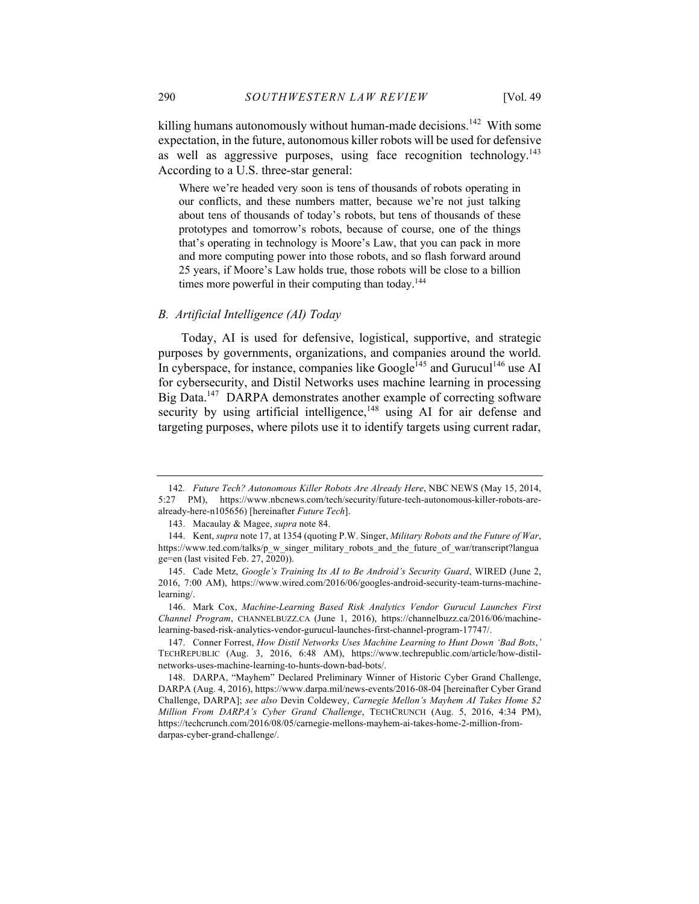killing humans autonomously without human-made decisions.<sup>142</sup> With some expectation, in the future, autonomous killer robots will be used for defensive as well as aggressive purposes, using face recognition technology.<sup>143</sup> According to a U.S. three-star general:

Where we're headed very soon is tens of thousands of robots operating in our conflicts, and these numbers matter, because we're not just talking about tens of thousands of today's robots, but tens of thousands of these prototypes and tomorrow's robots, because of course, one of the things that's operating in technology is Moore's Law, that you can pack in more and more computing power into those robots, and so flash forward around 25 years, if Moore's Law holds true, those robots will be close to a billion times more powerful in their computing than today.<sup>144</sup>

# *B. Artificial Intelligence (AI) Today*

Today, AI is used for defensive, logistical, supportive, and strategic purposes by governments, organizations, and companies around the world. In cyberspace, for instance, companies like Google<sup>145</sup> and Gurucul<sup>146</sup> use AI for cybersecurity, and Distil Networks uses machine learning in processing Big Data.<sup>147</sup> DARPA demonstrates another example of correcting software security by using artificial intelligence,  $148$  using AI for air defense and targeting purposes, where pilots use it to identify targets using current radar,

<sup>142</sup>*. Future Tech? Autonomous Killer Robots Are Already Here*, NBC NEWS (May 15, 2014, 5:27 PM), https://www.nbcnews.com/tech/security/future-tech-autonomous-killer-robots-arealready-here-n105656) [hereinafter *Future Tech*].

<sup>143.</sup> Macaulay & Magee, *supra* note 84.

<sup>144.</sup> Kent, *supra* note 17, at 1354 (quoting P.W. Singer, *Military Robots and the Future of War*, https://www.ted.com/talks/p\_w\_singer\_military\_robots\_and\_the\_future\_of\_war/transcript?langua ge=en (last visited Feb. 27, 2020)).

<sup>145.</sup> Cade Metz, *Google's Training Its AI to Be Android's Security Guard*, WIRED (June 2, 2016, 7:00 AM), https://www.wired.com/2016/06/googles-android-security-team-turns-machinelearning/.

<sup>146.</sup> Mark Cox, *Machine-Learning Based Risk Analytics Vendor Gurucul Launches First Channel Program*, CHANNELBUZZ.CA (June 1, 2016), https://channelbuzz.ca/2016/06/machinelearning-based-risk-analytics-vendor-gurucul-launches-first-channel-program-17747/.

<sup>147.</sup> Conner Forrest, *How Distil Networks Uses Machine Learning to Hunt Down 'Bad Bots*,*'* TECHREPUBLIC (Aug. 3, 2016, 6:48 AM), https://www.techrepublic.com/article/how-distilnetworks-uses-machine-learning-to-hunts-down-bad-bots/.

<sup>148.</sup> DARPA, "Mayhem" Declared Preliminary Winner of Historic Cyber Grand Challenge, DARPA (Aug. 4, 2016), https://www.darpa.mil/news-events/2016-08-04 [hereinafter Cyber Grand Challenge, DARPA]; *see also* Devin Coldewey, *Carnegie Mellon's Mayhem AI Takes Home \$2 Million From DARPA's Cyber Grand Challenge*, TECHCRUNCH (Aug. 5, 2016, 4:34 PM), https://techcrunch.com/2016/08/05/carnegie-mellons-mayhem-ai-takes-home-2-million-fromdarpas-cyber-grand-challenge/.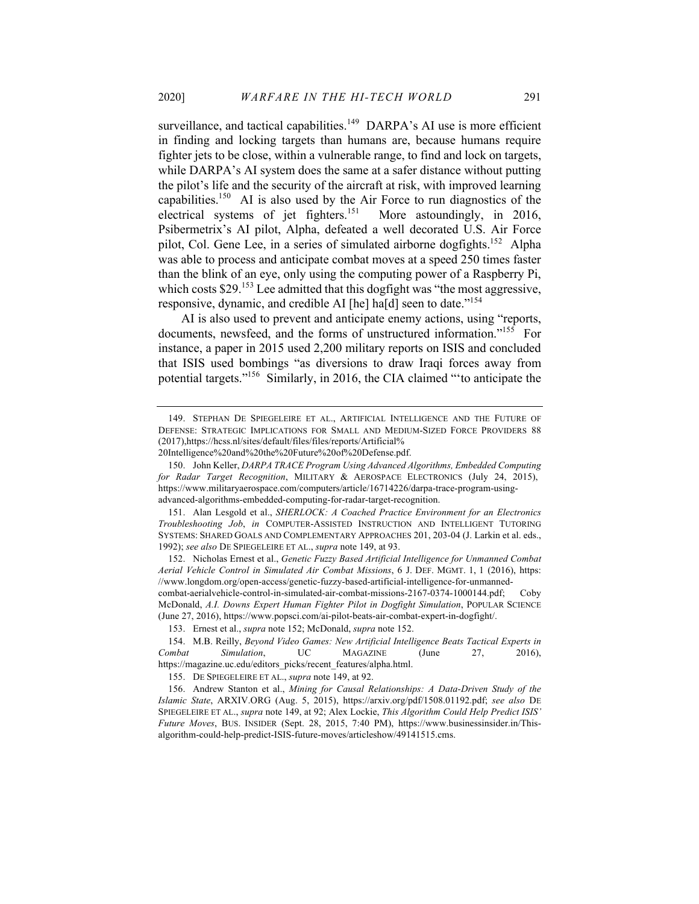surveillance, and tactical capabilities.<sup>149</sup> DARPA's AI use is more efficient in finding and locking targets than humans are, because humans require fighter jets to be close, within a vulnerable range, to find and lock on targets, while DARPA's AI system does the same at a safer distance without putting the pilot's life and the security of the aircraft at risk, with improved learning capabilities.<sup>150</sup> AI is also used by the Air Force to run diagnostics of the electrical systems of jet fighters.<sup>151</sup> More astoundingly, in 2016, Psibermetrix's AI pilot, Alpha, defeated a well decorated U.S. Air Force pilot, Col. Gene Lee, in a series of simulated airborne dogfights.<sup>152</sup> Alpha was able to process and anticipate combat moves at a speed 250 times faster than the blink of an eye, only using the computing power of a Raspberry Pi, which costs  $$29$ .<sup>153</sup> Lee admitted that this dogfight was "the most aggressive, responsive, dynamic, and credible AI [he] ha[d] seen to date."<sup>154</sup>

AI is also used to prevent and anticipate enemy actions, using "reports, documents, newsfeed, and the forms of unstructured information."<sup>155</sup> For instance, a paper in 2015 used 2,200 military reports on ISIS and concluded that ISIS used bombings "as diversions to draw Iraqi forces away from potential targets."156 Similarly, in 2016, the CIA claimed "'to anticipate the

152. Nicholas Ernest et al., *Genetic Fuzzy Based Artificial Intelligence for Unmanned Combat Aerial Vehicle Control in Simulated Air Combat Missions*, 6 J. DEF. MGMT. 1, 1 (2016), https: //www.longdom.org/open-access/genetic-fuzzy-based-artificial-intelligence-for-unmannedcombat-aerialvehicle-control-in-simulated-air-combat-missions-2167-0374-1000144.pdf; Coby McDonald, *A.I. Downs Expert Human Fighter Pilot in Dogfight Simulation*, POPULAR SCIENCE

(June 27, 2016), https://www.popsci.com/ai-pilot-beats-air-combat-expert-in-dogfight/.

155. DE SPIEGELEIRE ET AL., *supra* note 149, at 92.

156. Andrew Stanton et al., *Mining for Causal Relationships: A Data-Driven Study of the Islamic State*, ARXIV.ORG (Aug. 5, 2015), https://arxiv.org/pdf/1508.01192.pdf; *see also* DE SPIEGELEIRE ET AL., *supra* note 149, at 92; Alex Lockie, *This Algorithm Could Help Predict ISIS' Future Moves*, BUS. INSIDER (Sept. 28, 2015, 7:40 PM), https://www.businessinsider.in/Thisalgorithm-could-help-predict-ISIS-future-moves/articleshow/49141515.cms.

<sup>149.</sup> STEPHAN DE SPIEGELEIRE ET AL., ARTIFICIAL INTELLIGENCE AND THE FUTURE OF DEFENSE: STRATEGIC IMPLICATIONS FOR SMALL AND MEDIUM-SIZED FORCE PROVIDERS 88 (2017),https://hcss.nl/sites/default/files/files/reports/Artificial%

<sup>20</sup>Intelligence%20and%20the%20Future%20of%20Defense.pdf.

<sup>150.</sup> John Keller, *DARPA TRACE Program Using Advanced Algorithms, Embedded Computing*  for Radar Target Recognition, MILITARY & AEROSPACE ELECTRONICS (July 24, 2015), https://www.militaryaerospace.com/computers/article/16714226/darpa-trace-program-usingadvanced-algorithms-embedded-computing-for-radar-target-recognition.

<sup>151.</sup> Alan Lesgold et al., *SHERLOCK: A Coached Practice Environment for an Electronics Troubleshooting Job*, *in* COMPUTER-ASSISTED INSTRUCTION AND INTELLIGENT TUTORING SYSTEMS: SHARED GOALS AND COMPLEMENTARY APPROACHES 201, 203-04 (J. Larkin et al. eds., 1992); *see also* DE SPIEGELEIRE ET AL., *supra* note 149, at 93.

<sup>153.</sup> Ernest et al., *supra* note 152; McDonald, *supra* note 152.

<sup>154.</sup> M.B. Reilly, *Beyond Video Games: New Artificial Intelligence Beats Tactical Experts in Combat Simulation*, UC MAGAZINE (June 27, 2016), https://magazine.uc.edu/editors\_picks/recent\_features/alpha.html.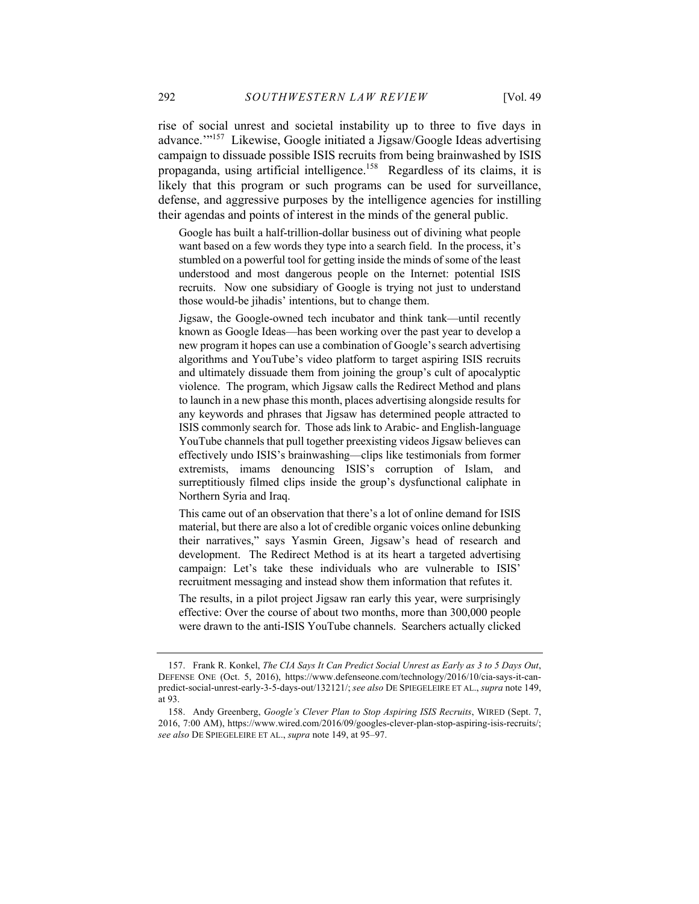rise of social unrest and societal instability up to three to five days in advance.'"<sup>157</sup> Likewise, Google initiated a Jigsaw/Google Ideas advertising campaign to dissuade possible ISIS recruits from being brainwashed by ISIS propaganda, using artificial intelligence.<sup>158</sup> Regardless of its claims, it is likely that this program or such programs can be used for surveillance, defense, and aggressive purposes by the intelligence agencies for instilling their agendas and points of interest in the minds of the general public.

Google has built a half-trillion-dollar business out of divining what people want based on a few words they type into a search field. In the process, it's stumbled on a powerful tool for getting inside the minds of some of the least understood and most dangerous people on the Internet: potential ISIS recruits. Now one subsidiary of Google is trying not just to understand those would-be jihadis' intentions, but to change them.

Jigsaw, the Google-owned tech incubator and think tank—until recently known as Google Ideas—has been working over the past year to develop a new program it hopes can use a combination of Google's search advertising algorithms and YouTube's video platform to target aspiring ISIS recruits and ultimately dissuade them from joining the group's cult of apocalyptic violence. The program, which Jigsaw calls the Redirect Method and plans to launch in a new phase this month, places advertising alongside results for any keywords and phrases that Jigsaw has determined people attracted to ISIS commonly search for. Those ads link to Arabic- and English-language YouTube channels that pull together preexisting videos Jigsaw believes can effectively undo ISIS's brainwashing—clips like testimonials from former extremists, imams denouncing ISIS's corruption of Islam, and surreptitiously filmed clips inside the group's dysfunctional caliphate in Northern Syria and Iraq.

This came out of an observation that there's a lot of online demand for ISIS material, but there are also a lot of credible organic voices online debunking their narratives," says Yasmin Green, Jigsaw's head of research and development. The Redirect Method is at its heart a targeted advertising campaign: Let's take these individuals who are vulnerable to ISIS' recruitment messaging and instead show them information that refutes it.

The results, in a pilot project Jigsaw ran early this year, were surprisingly effective: Over the course of about two months, more than 300,000 people were drawn to the anti-ISIS YouTube channels. Searchers actually clicked

<sup>157.</sup> Frank R. Konkel, *The CIA Says It Can Predict Social Unrest as Early as 3 to 5 Days Out*, DEFENSE ONE (Oct. 5, 2016), https://www.defenseone.com/technology/2016/10/cia-says-it-canpredict-social-unrest-early-3-5-days-out/132121/; *see also* DE SPIEGELEIRE ET AL., *supra* note 149, at 93.

<sup>158.</sup> Andy Greenberg, *Google's Clever Plan to Stop Aspiring ISIS Recruits*, WIRED (Sept. 7, 2016, 7:00 AM), https://www.wired.com/2016/09/googles-clever-plan-stop-aspiring-isis-recruits/; *see also* DE SPIEGELEIRE ET AL., *supra* note 149, at 95–97.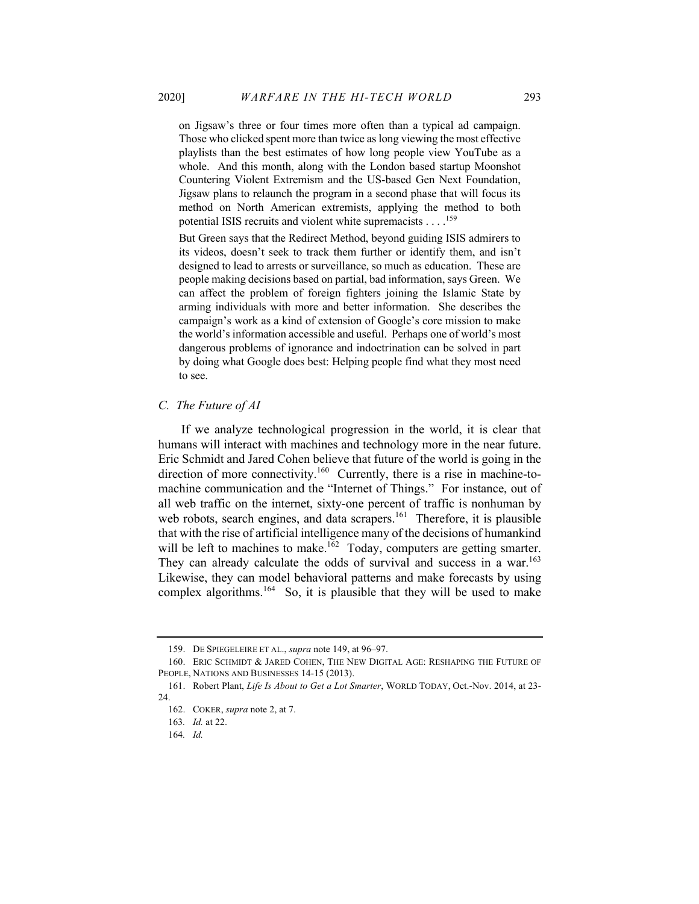on Jigsaw's three or four times more often than a typical ad campaign. Those who clicked spent more than twice as long viewing the most effective playlists than the best estimates of how long people view YouTube as a whole. And this month, along with the London based startup Moonshot Countering Violent Extremism and the US-based Gen Next Foundation, Jigsaw plans to relaunch the program in a second phase that will focus its method on North American extremists, applying the method to both potential ISIS recruits and violent white supremacists . . . .<sup>159</sup>

But Green says that the Redirect Method, beyond guiding ISIS admirers to its videos, doesn't seek to track them further or identify them, and isn't designed to lead to arrests or surveillance, so much as education. These are people making decisions based on partial, bad information, says Green. We can affect the problem of foreign fighters joining the Islamic State by arming individuals with more and better information. She describes the campaign's work as a kind of extension of Google's core mission to make the world's information accessible and useful. Perhaps one of world's most dangerous problems of ignorance and indoctrination can be solved in part by doing what Google does best: Helping people find what they most need to see.

#### *C. The Future of AI*

If we analyze technological progression in the world, it is clear that humans will interact with machines and technology more in the near future. Eric Schmidt and Jared Cohen believe that future of the world is going in the direction of more connectivity.<sup>160</sup> Currently, there is a rise in machine-tomachine communication and the "Internet of Things." For instance, out of all web traffic on the internet, sixty-one percent of traffic is nonhuman by web robots, search engines, and data scrapers.<sup>161</sup> Therefore, it is plausible that with the rise of artificial intelligence many of the decisions of humankind will be left to machines to make.<sup>162</sup> Today, computers are getting smarter. They can already calculate the odds of survival and success in a war.<sup>163</sup> Likewise, they can model behavioral patterns and make forecasts by using complex algorithms.<sup>164</sup> So, it is plausible that they will be used to make

<sup>159.</sup> DE SPIEGELEIRE ET AL., *supra* note 149, at 96–97.

<sup>160.</sup> ERIC SCHMIDT & JARED COHEN, THE NEW DIGITAL AGE: RESHAPING THE FUTURE OF PEOPLE, NATIONS AND BUSINESSES 14-15 (2013).

<sup>161.</sup> Robert Plant, *Life Is About to Get a Lot Smarter*, WORLD TODAY, Oct.-Nov. 2014, at 23- 24.

<sup>162.</sup> COKER, *supra* note 2, at 7.

<sup>163</sup>*. Id.* at 22.

<sup>164</sup>*. Id.*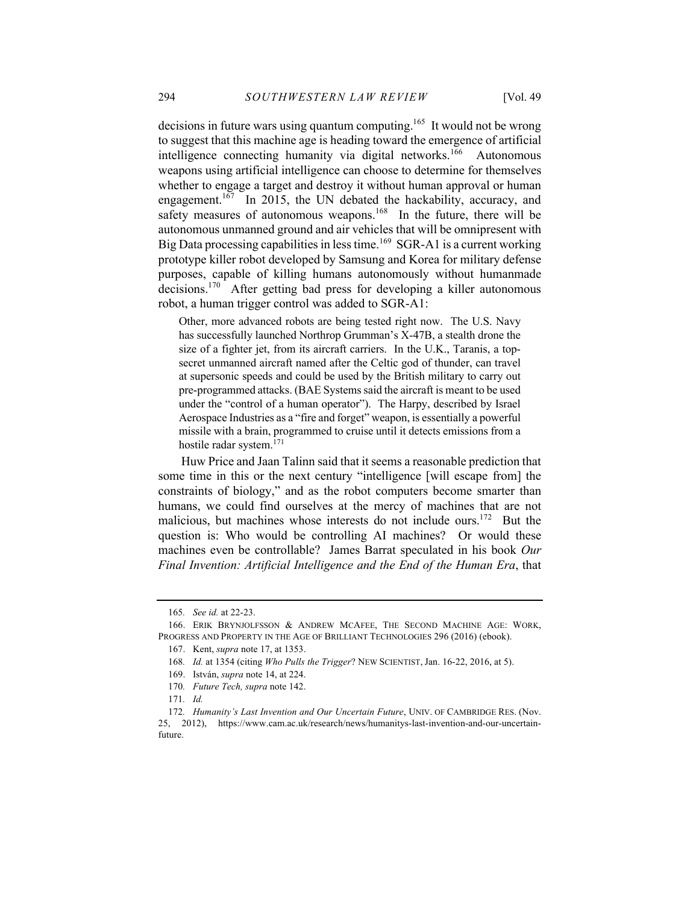decisions in future wars using quantum computing.<sup>165</sup> It would not be wrong to suggest that this machine age is heading toward the emergence of artificial intelligence connecting humanity via digital networks.<sup>166</sup> Autonomous weapons using artificial intelligence can choose to determine for themselves whether to engage a target and destroy it without human approval or human engagement.<sup>167</sup> In 2015, the UN debated the hackability, accuracy, and safety measures of autonomous weapons.<sup>168</sup> In the future, there will be autonomous unmanned ground and air vehicles that will be omnipresent with Big Data processing capabilities in less time.<sup>169</sup> SGR-A1 is a current working prototype killer robot developed by Samsung and Korea for military defense purposes, capable of killing humans autonomously without humanmade decisions.<sup>170</sup> After getting bad press for developing a killer autonomous robot, a human trigger control was added to SGR-A1:

Other, more advanced robots are being tested right now. The U.S. Navy has successfully launched Northrop Grumman's X-47B, a stealth drone the size of a fighter jet, from its aircraft carriers. In the U.K., Taranis, a topsecret unmanned aircraft named after the Celtic god of thunder, can travel at supersonic speeds and could be used by the British military to carry out pre-programmed attacks. (BAE Systems said the aircraft is meant to be used under the "control of a human operator"). The Harpy, described by Israel Aerospace Industries as a "fire and forget" weapon, is essentially a powerful missile with a brain, programmed to cruise until it detects emissions from a hostile radar system.171

Huw Price and Jaan Talinn said that it seems a reasonable prediction that some time in this or the next century "intelligence [will escape from] the constraints of biology," and as the robot computers become smarter than humans, we could find ourselves at the mercy of machines that are not malicious, but machines whose interests do not include ours.<sup>172</sup> But the question is: Who would be controlling AI machines? Or would these machines even be controllable? James Barrat speculated in his book *Our Final Invention: Artificial Intelligence and the End of the Human Era*, that

<sup>165</sup>*. See id.* at 22-23.

<sup>166.</sup> ERIK BRYNJOLFSSON & ANDREW MCAFEE, THE SECOND MACHINE AGE: WORK, PROGRESS AND PROPERTY IN THE AGE OF BRILLIANT TECHNOLOGIES 296 (2016) (ebook).

<sup>167.</sup> Kent, *supra* note 17, at 1353.

<sup>168</sup>*. Id.* at 1354 (citing *Who Pulls the Trigger*? NEW SCIENTIST, Jan. 16-22, 2016, at 5).

<sup>169.</sup> István, *supra* note 14, at 224.

<sup>170</sup>*. Future Tech, supra* note 142.

<sup>171</sup>*. Id.*

<sup>172</sup>*. Humanity's Last Invention and Our Uncertain Future*, UNIV. OF CAMBRIDGE RES. (Nov. 25, 2012), https://www.cam.ac.uk/research/news/humanitys-last-invention-and-our-uncertainfuture.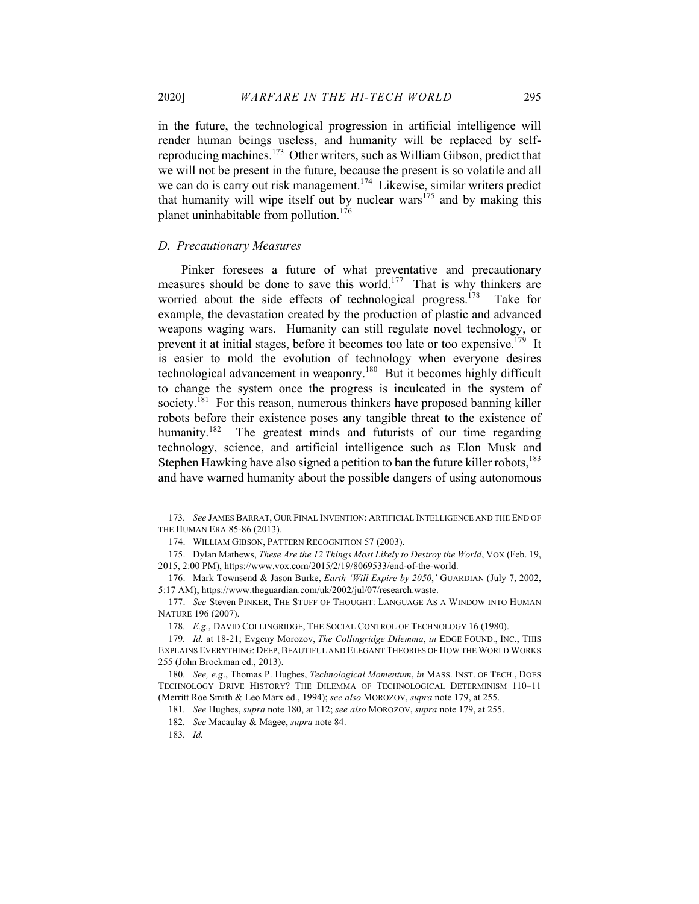in the future, the technological progression in artificial intelligence will render human beings useless, and humanity will be replaced by selfreproducing machines.<sup>173</sup> Other writers, such as William Gibson, predict that we will not be present in the future, because the present is so volatile and all we can do is carry out risk management.<sup>174</sup> Likewise, similar writers predict that humanity will wipe itself out by nuclear wars<sup>175</sup> and by making this planet uninhabitable from pollution.<sup>176</sup>

#### *D. Precautionary Measures*

Pinker foresees a future of what preventative and precautionary measures should be done to save this world.<sup>177</sup> That is why thinkers are worried about the side effects of technological progress.<sup>178</sup> Take for example, the devastation created by the production of plastic and advanced weapons waging wars. Humanity can still regulate novel technology, or prevent it at initial stages, before it becomes too late or too expensive.<sup>179</sup> It is easier to mold the evolution of technology when everyone desires technological advancement in weaponry.<sup>180</sup> But it becomes highly difficult to change the system once the progress is inculcated in the system of society.<sup>181</sup> For this reason, numerous thinkers have proposed banning killer robots before their existence poses any tangible threat to the existence of humanity.<sup>182</sup> The greatest minds and futurists of our time regarding technology, science, and artificial intelligence such as Elon Musk and Stephen Hawking have also signed a petition to ban the future killer robots,<sup>183</sup> and have warned humanity about the possible dangers of using autonomous

<sup>173</sup>*. See* JAMES BARRAT, OUR FINAL INVENTION: ARTIFICIAL INTELLIGENCE AND THE END OF THE HUMAN ERA 85-86 (2013).

<sup>174.</sup> WILLIAM GIBSON, PATTERN RECOGNITION 57 (2003).

<sup>175.</sup> Dylan Mathews, *These Are the 12 Things Most Likely to Destroy the World*, VOX (Feb. 19, 2015, 2:00 PM), https://www.vox.com/2015/2/19/8069533/end-of-the-world.

<sup>176.</sup> Mark Townsend & Jason Burke, *Earth 'Will Expire by 2050*,*'* GUARDIAN (July 7, 2002, 5:17 AM), https://www.theguardian.com/uk/2002/jul/07/research.waste.

<sup>177.</sup> *See* Steven PINKER, THE STUFF OF THOUGHT: LANGUAGE AS A WINDOW INTO HUMAN NATURE 196 (2007).

<sup>178</sup>*. E.g.*, DAVID COLLINGRIDGE, THE SOCIAL CONTROL OF TECHNOLOGY 16 (1980).

<sup>179</sup>*. Id.* at 18-21; Evgeny Morozov, *The Collingridge Dilemma*, *in* EDGE FOUND., INC., THIS EXPLAINS EVERYTHING: DEEP, BEAUTIFUL AND ELEGANT THEORIES OF HOW THE WORLD WORKS 255 (John Brockman ed., 2013).

<sup>180</sup>*. See, e.g*., Thomas P. Hughes, *Technological Momentum*, *in* MASS. INST. OF TECH., DOES TECHNOLOGY DRIVE HISTORY? THE DILEMMA OF TECHNOLOGICAL DETERMINISM 110–11 (Merritt Roe Smith & Leo Marx ed., 1994); *see also* MOROZOV, *supra* note 179, at 255.

<sup>181</sup>*. See* Hughes, *supra* note 180, at 112; *see also* MOROZOV, *supra* note 179, at 255.

<sup>182</sup>*. See* Macaulay & Magee, *supra* note 84.

<sup>183</sup>*. Id.*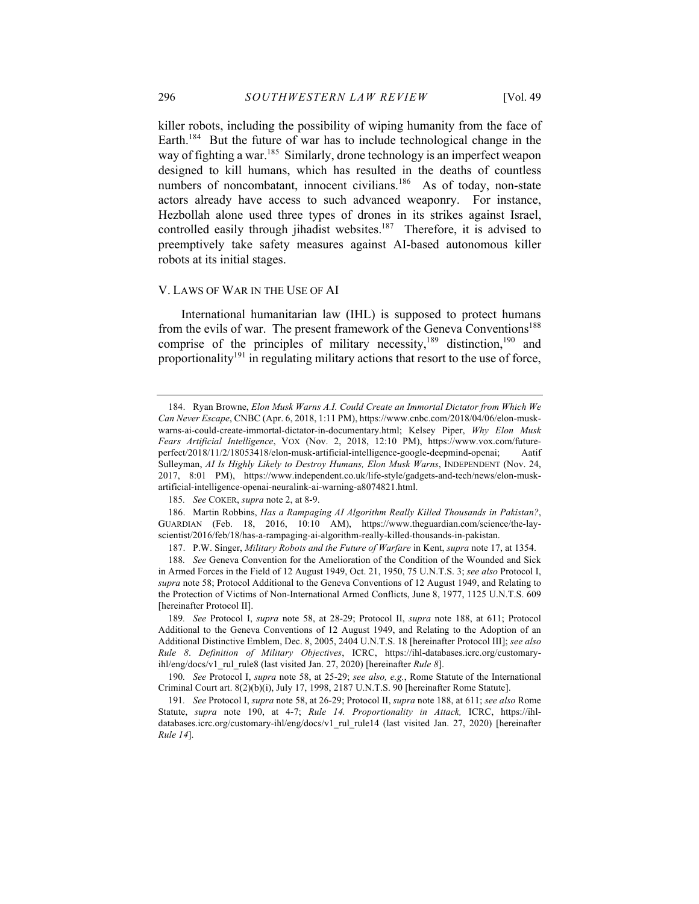killer robots, including the possibility of wiping humanity from the face of Earth.<sup>184</sup> But the future of war has to include technological change in the way of fighting a war.<sup>185</sup> Similarly, drone technology is an imperfect weapon designed to kill humans, which has resulted in the deaths of countless numbers of noncombatant, innocent civilians.<sup>186</sup> As of today, non-state actors already have access to such advanced weaponry. For instance, Hezbollah alone used three types of drones in its strikes against Israel, controlled easily through jihadist websites.<sup>187</sup> Therefore, it is advised to preemptively take safety measures against AI-based autonomous killer robots at its initial stages.

#### V. LAWS OF WAR IN THE USE OF AI

International humanitarian law (IHL) is supposed to protect humans from the evils of war. The present framework of the Geneva Conventions<sup>188</sup> comprise of the principles of military necessity, $189$  distinction,  $190$  and proportionality<sup>191</sup> in regulating military actions that resort to the use of force,

<sup>184.</sup> Ryan Browne, *Elon Musk Warns A.I. Could Create an Immortal Dictator from Which We Can Never Escape*, CNBC (Apr. 6, 2018, 1:11 PM), https://www.cnbc.com/2018/04/06/elon-muskwarns-ai-could-create-immortal-dictator-in-documentary.html; Kelsey Piper, *Why Elon Musk Fears Artificial Intelligence*, VOX (Nov. 2, 2018, 12:10 PM), https://www.vox.com/futureperfect/2018/11/2/18053418/elon-musk-artificial-intelligence-google-deepmind-openai; Aatif Sulleyman, *AI Is Highly Likely to Destroy Humans, Elon Musk Warns*, INDEPENDENT (Nov. 24, 2017, 8:01 PM), https://www.independent.co.uk/life-style/gadgets-and-tech/news/elon-muskartificial-intelligence-openai-neuralink-ai-warning-a8074821.html.

<sup>185</sup>*. See* COKER, *supra* note 2, at 8-9.

<sup>186.</sup> Martin Robbins, *Has a Rampaging AI Algorithm Really Killed Thousands in Pakistan?*, GUARDIAN (Feb. 18, 2016, 10:10 AM), https://www.theguardian.com/science/the-layscientist/2016/feb/18/has-a-rampaging-ai-algorithm-really-killed-thousands-in-pakistan.

<sup>187.</sup> P.W. Singer, *Military Robots and the Future of Warfare* in Kent, *supra* note 17, at 1354.

<sup>188</sup>*. See* Geneva Convention for the Amelioration of the Condition of the Wounded and Sick in Armed Forces in the Field of 12 August 1949, Oct. 21, 1950, 75 U.N.T.S. 3; *see also* Protocol I, *supra* note 58; Protocol Additional to the Geneva Conventions of 12 August 1949, and Relating to the Protection of Victims of Non-International Armed Conflicts, June 8, 1977, 1125 U.N.T.S. 609 [hereinafter Protocol II].

<sup>189</sup>*. See* Protocol I, *supra* note 58, at 28-29; Protocol II, *supra* note 188, at 611; Protocol Additional to the Geneva Conventions of 12 August 1949, and Relating to the Adoption of an Additional Distinctive Emblem, Dec. 8, 2005, 2404 U.N.T.S. 18 [hereinafter Protocol III]; *see also Rule 8*. *Definition of Military Objectives*, ICRC, https://ihl-databases.icrc.org/customaryihl/eng/docs/v1\_rul\_rule8 (last visited Jan. 27, 2020) [hereinafter *Rule 8*].

<sup>190</sup>*. See* Protocol I, *supra* note 58, at 25-29; *see also, e.g.*, Rome Statute of the International Criminal Court art. 8(2)(b)(i), July 17, 1998, 2187 U.N.T.S. 90 [hereinafter Rome Statute].

<sup>191</sup>*. See* Protocol I, *supra* note 58, at 26-29; Protocol II, *supra* note 188, at 611; *see also* Rome Statute, *supra* note 190, at 4-7; *Rule 14. Proportionality in Attack,* ICRC, https://ihldatabases.icrc.org/customary-ihl/eng/docs/v1\_rul\_rule14 (last visited Jan. 27, 2020) [hereinafter *Rule 14*].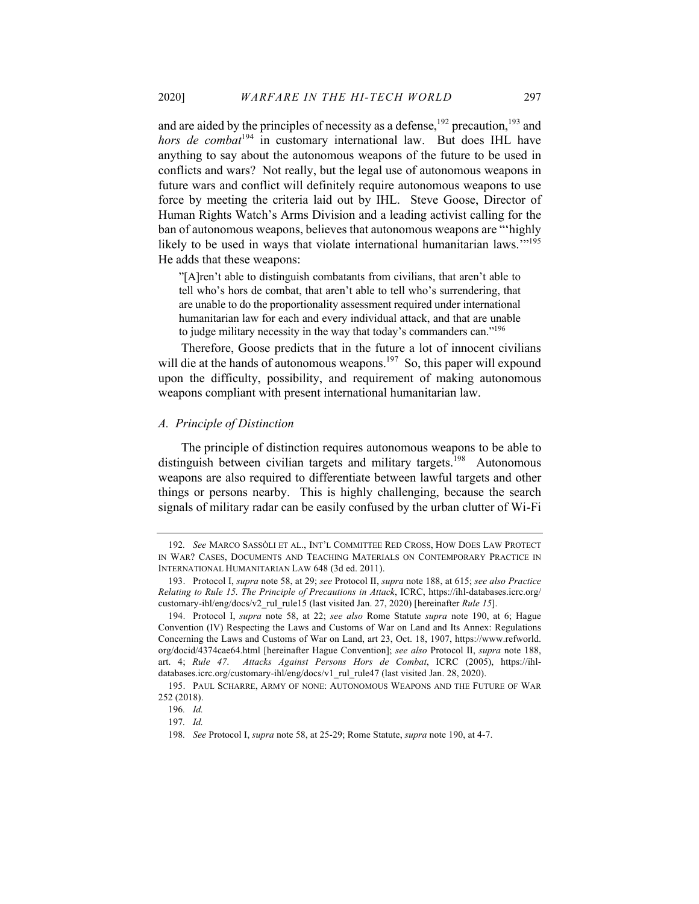and are aided by the principles of necessity as a defense,<sup>192</sup> precaution,<sup>193</sup> and *hors de combat*<sup>194</sup> in customary international law. But does IHL have anything to say about the autonomous weapons of the future to be used in conflicts and wars? Not really, but the legal use of autonomous weapons in future wars and conflict will definitely require autonomous weapons to use force by meeting the criteria laid out by IHL. Steve Goose, Director of Human Rights Watch's Arms Division and a leading activist calling for the ban of autonomous weapons, believes that autonomous weapons are "'highly likely to be used in ways that violate international humanitarian laws."<sup>195</sup> He adds that these weapons:

"[A]ren't able to distinguish combatants from civilians, that aren't able to tell who's hors de combat, that aren't able to tell who's surrendering, that are unable to do the proportionality assessment required under international humanitarian law for each and every individual attack, and that are unable to judge military necessity in the way that today's commanders can."<sup>196</sup>

Therefore, Goose predicts that in the future a lot of innocent civilians will die at the hands of autonomous weapons.<sup>197</sup> So, this paper will expound upon the difficulty, possibility, and requirement of making autonomous weapons compliant with present international humanitarian law.

#### *A. Principle of Distinction*

The principle of distinction requires autonomous weapons to be able to distinguish between civilian targets and military targets.<sup>198</sup> Autonomous weapons are also required to differentiate between lawful targets and other things or persons nearby. This is highly challenging, because the search signals of military radar can be easily confused by the urban clutter of Wi-Fi

<sup>192</sup>*. See* MARCO SASSÒLI ET AL., INT'L COMMITTEE RED CROSS, HOW DOES LAW PROTECT IN WAR? CASES, DOCUMENTS AND TEACHING MATERIALS ON CONTEMPORARY PRACTICE IN INTERNATIONAL HUMANITARIAN LAW 648 (3d ed. 2011).

<sup>193.</sup> Protocol I, *supra* note 58, at 29; *see* Protocol II, *supra* note 188, at 615; *see also Practice Relating to Rule 15. The Principle of Precautions in Attack*, ICRC, https://ihl-databases.icrc.org/ customary-ihl/eng/docs/v2\_rul\_rule15 (last visited Jan. 27, 2020) [hereinafter *Rule 15*].

<sup>194.</sup> Protocol I, *supra* note 58, at 22; *see also* Rome Statute *supra* note 190, at 6; Hague Convention (IV) Respecting the Laws and Customs of War on Land and Its Annex: Regulations Concerning the Laws and Customs of War on Land, art 23, Oct. 18, 1907, https://www.refworld. org/docid/4374cae64.html [hereinafter Hague Convention]; *see also* Protocol II, *supra* note 188, art. 4; *Rule 47*. *Attacks Against Persons Hors de Combat*, ICRC (2005), https://ihldatabases.icrc.org/customary-ihl/eng/docs/v1\_rul\_rule47 (last visited Jan. 28, 2020).

<sup>195.</sup> PAUL SCHARRE, ARMY OF NONE: AUTONOMOUS WEAPONS AND THE FUTURE OF WAR 252 (2018).

<sup>196</sup>*. Id.*

<sup>197</sup>*. Id.*

<sup>198</sup>*. See* Protocol I, *supra* note 58, at 25-29; Rome Statute, *supra* note 190, at 4-7.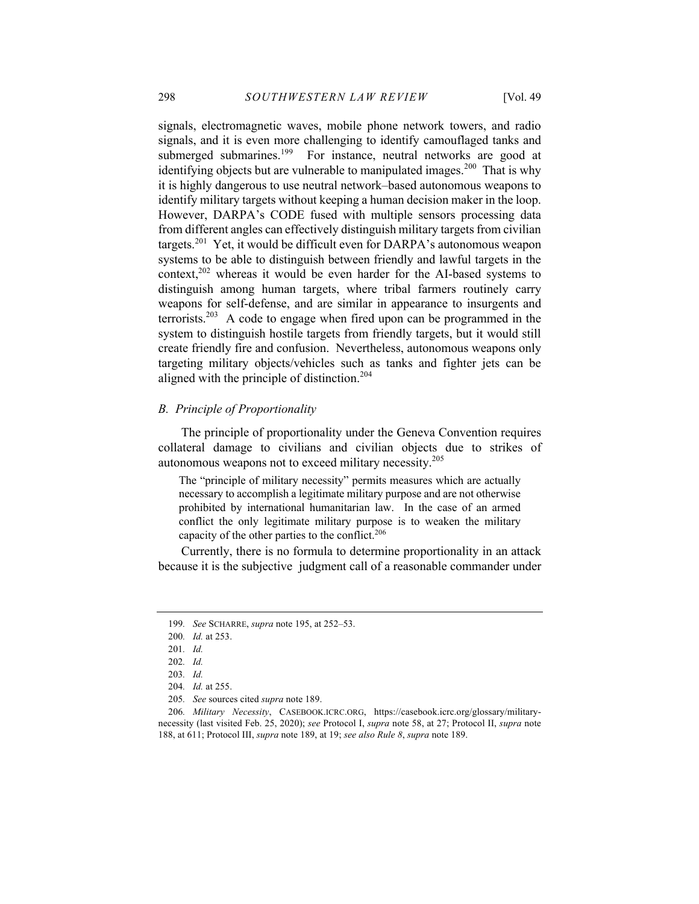signals, electromagnetic waves, mobile phone network towers, and radio signals, and it is even more challenging to identify camouflaged tanks and submerged submarines.<sup>199</sup> For instance, neutral networks are good at identifying objects but are vulnerable to manipulated images.<sup>200</sup> That is why it is highly dangerous to use neutral network–based autonomous weapons to identify military targets without keeping a human decision maker in the loop. However, DARPA's CODE fused with multiple sensors processing data from different angles can effectively distinguish military targets from civilian targets.<sup>201</sup> Yet, it would be difficult even for DARPA's autonomous weapon systems to be able to distinguish between friendly and lawful targets in the context, $202$  whereas it would be even harder for the AI-based systems to distinguish among human targets, where tribal farmers routinely carry weapons for self-defense, and are similar in appearance to insurgents and terrorists.<sup>203</sup> A code to engage when fired upon can be programmed in the system to distinguish hostile targets from friendly targets, but it would still create friendly fire and confusion. Nevertheless, autonomous weapons only targeting military objects/vehicles such as tanks and fighter jets can be aligned with the principle of distinction.<sup>204</sup>

# *B. Principle of Proportionality*

The principle of proportionality under the Geneva Convention requires collateral damage to civilians and civilian objects due to strikes of autonomous weapons not to exceed military necessity.<sup>205</sup>

The "principle of military necessity" permits measures which are actually necessary to accomplish a legitimate military purpose and are not otherwise prohibited by international humanitarian law. In the case of an armed conflict the only legitimate military purpose is to weaken the military capacity of the other parties to the conflict.<sup>206</sup>

Currently, there is no formula to determine proportionality in an attack because it is the subjective judgment call of a reasonable commander under

<sup>199</sup>*. See* SCHARRE, *supra* note 195, at 252–53.

<sup>200</sup>*. Id.* at 253.

<sup>201</sup>*. Id.*

<sup>202</sup>*. Id.*

<sup>203</sup>*. Id.*

<sup>204</sup>*. Id.* at 255.

<sup>205</sup>*. See* sources cited *supra* note 189.

<sup>206</sup>*. Military Necessity*, CASEBOOK.ICRC.ORG, https://casebook.icrc.org/glossary/militarynecessity (last visited Feb. 25, 2020); *see* Protocol I, *supra* note 58, at 27; Protocol II, *supra* note 188, at 611; Protocol III, *supra* note 189, at 19; *see also Rule 8*, *supra* note 189.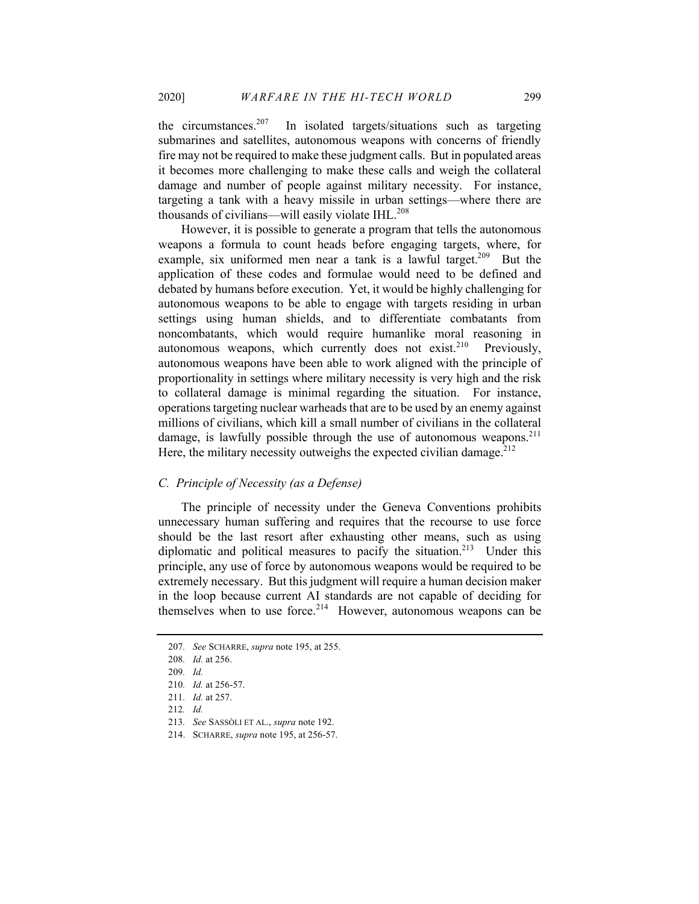the circumstances.<sup>207</sup> In isolated targets/situations such as targeting submarines and satellites, autonomous weapons with concerns of friendly fire may not be required to make these judgment calls. But in populated areas it becomes more challenging to make these calls and weigh the collateral damage and number of people against military necessity. For instance, targeting a tank with a heavy missile in urban settings—where there are thousands of civilians—will easily violate IHL. $^{208}$ 

However, it is possible to generate a program that tells the autonomous weapons a formula to count heads before engaging targets, where, for example, six uniformed men near a tank is a lawful target.<sup>209</sup> But the application of these codes and formulae would need to be defined and debated by humans before execution. Yet, it would be highly challenging for autonomous weapons to be able to engage with targets residing in urban settings using human shields, and to differentiate combatants from noncombatants, which would require humanlike moral reasoning in autonomous weapons, which currently does not exist.<sup>210</sup> Previously, autonomous weapons have been able to work aligned with the principle of proportionality in settings where military necessity is very high and the risk to collateral damage is minimal regarding the situation. For instance, operations targeting nuclear warheads that are to be used by an enemy against millions of civilians, which kill a small number of civilians in the collateral damage, is lawfully possible through the use of autonomous weapons.<sup>211</sup> Here, the military necessity outweighs the expected civilian damage.<sup>212</sup>

# *C. Principle of Necessity (as a Defense)*

The principle of necessity under the Geneva Conventions prohibits unnecessary human suffering and requires that the recourse to use force should be the last resort after exhausting other means, such as using diplomatic and political measures to pacify the situation.<sup>213</sup> Under this principle, any use of force by autonomous weapons would be required to be extremely necessary. But this judgment will require a human decision maker in the loop because current AI standards are not capable of deciding for themselves when to use force. $2^{14}$  However, autonomous weapons can be

<sup>207</sup>*. See* SCHARRE, *supra* note 195, at 255.

<sup>208</sup>*. Id.* at 256.

<sup>209</sup>*. Id.*

<sup>210</sup>*. Id.* at 256-57.

<sup>211</sup>*. Id.* at 257.

<sup>212</sup>*. Id.*

<sup>213</sup>*. See* SASSÒLI ET AL., *supra* note 192.

<sup>214.</sup> SCHARRE, *supra* note 195, at 256-57.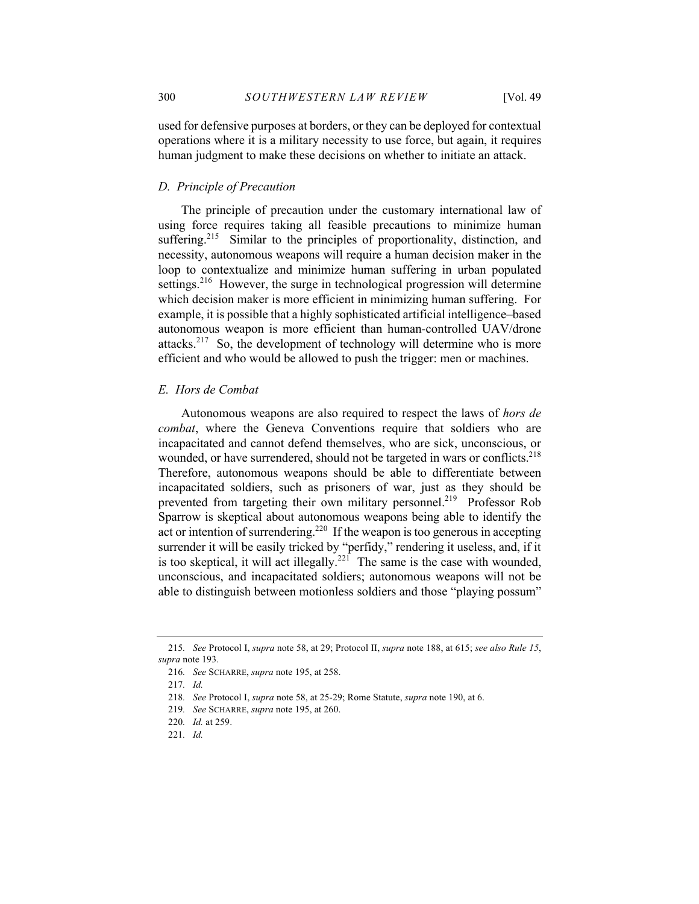used for defensive purposes at borders, or they can be deployed for contextual operations where it is a military necessity to use force, but again, it requires human judgment to make these decisions on whether to initiate an attack.

# *D. Principle of Precaution*

The principle of precaution under the customary international law of using force requires taking all feasible precautions to minimize human suffering.<sup>215</sup> Similar to the principles of proportionality, distinction, and necessity, autonomous weapons will require a human decision maker in the loop to contextualize and minimize human suffering in urban populated settings.<sup>216</sup> However, the surge in technological progression will determine which decision maker is more efficient in minimizing human suffering. For example, it is possible that a highly sophisticated artificial intelligence–based autonomous weapon is more efficient than human-controlled UAV/drone attacks.<sup>217</sup> So, the development of technology will determine who is more efficient and who would be allowed to push the trigger: men or machines.

# *E. Hors de Combat*

Autonomous weapons are also required to respect the laws of *hors de combat*, where the Geneva Conventions require that soldiers who are incapacitated and cannot defend themselves, who are sick, unconscious, or wounded, or have surrendered, should not be targeted in wars or conflicts.<sup>218</sup> Therefore, autonomous weapons should be able to differentiate between incapacitated soldiers, such as prisoners of war, just as they should be prevented from targeting their own military personnel.<sup>219</sup> Professor Rob Sparrow is skeptical about autonomous weapons being able to identify the act or intention of surrendering.<sup>220</sup> If the weapon is too generous in accepting surrender it will be easily tricked by "perfidy," rendering it useless, and, if it is too skeptical, it will act illegally.<sup>221</sup> The same is the case with wounded, unconscious, and incapacitated soldiers; autonomous weapons will not be able to distinguish between motionless soldiers and those "playing possum"

<sup>215</sup>*. See* Protocol I, *supra* note 58, at 29; Protocol II, *supra* note 188, at 615; *see also Rule 15*, *supra* note 193.

<sup>216</sup>*. See* SCHARRE, *supra* note 195, at 258.

<sup>217</sup>*. Id.*

<sup>218</sup>*. See* Protocol I, *supra* note 58, at 25-29; Rome Statute, *supra* note 190, at 6.

<sup>219</sup>*. See* SCHARRE, *supra* note 195, at 260.

<sup>220</sup>*. Id.* at 259.

<sup>221</sup>*. Id.*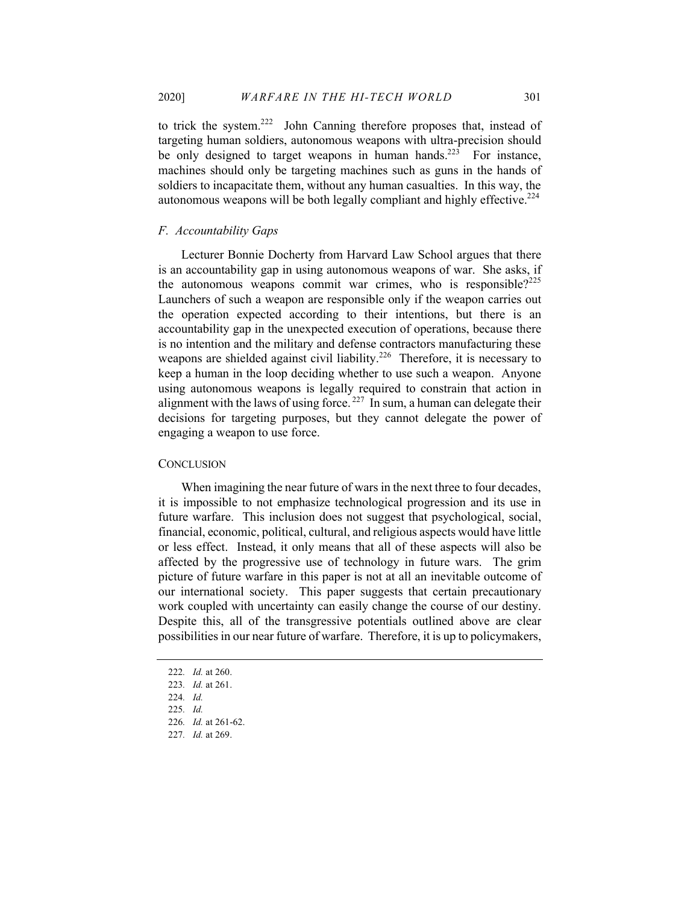to trick the system.<sup>222</sup> John Canning therefore proposes that, instead of targeting human soldiers, autonomous weapons with ultra-precision should be only designed to target weapons in human hands.<sup>223</sup> For instance, machines should only be targeting machines such as guns in the hands of soldiers to incapacitate them, without any human casualties. In this way, the autonomous weapons will be both legally compliant and highly effective.<sup>224</sup>

# *F. Accountability Gaps*

Lecturer Bonnie Docherty from Harvard Law School argues that there is an accountability gap in using autonomous weapons of war. She asks, if the autonomous weapons commit war crimes, who is responsible?<sup>225</sup> Launchers of such a weapon are responsible only if the weapon carries out the operation expected according to their intentions, but there is an accountability gap in the unexpected execution of operations, because there is no intention and the military and defense contractors manufacturing these weapons are shielded against civil liability.<sup>226</sup> Therefore, it is necessary to keep a human in the loop deciding whether to use such a weapon. Anyone using autonomous weapons is legally required to constrain that action in alignment with the laws of using force.  $227 \text{ In sum, a human can delegate their}$ decisions for targeting purposes, but they cannot delegate the power of engaging a weapon to use force.

# **CONCLUSION**

When imagining the near future of wars in the next three to four decades, it is impossible to not emphasize technological progression and its use in future warfare. This inclusion does not suggest that psychological, social, financial, economic, political, cultural, and religious aspects would have little or less effect. Instead, it only means that all of these aspects will also be affected by the progressive use of technology in future wars. The grim picture of future warfare in this paper is not at all an inevitable outcome of our international society. This paper suggests that certain precautionary work coupled with uncertainty can easily change the course of our destiny. Despite this, all of the transgressive potentials outlined above are clear possibilities in our near future of warfare. Therefore, it is up to policymakers,

<sup>222</sup>*. Id.* at 260.

<sup>223</sup>*. Id.* at 261.

<sup>224</sup>*. Id.*

<sup>225</sup>*. Id.*

<sup>226</sup>*. Id.* at 261-62.

<sup>227</sup>*. Id.* at 269.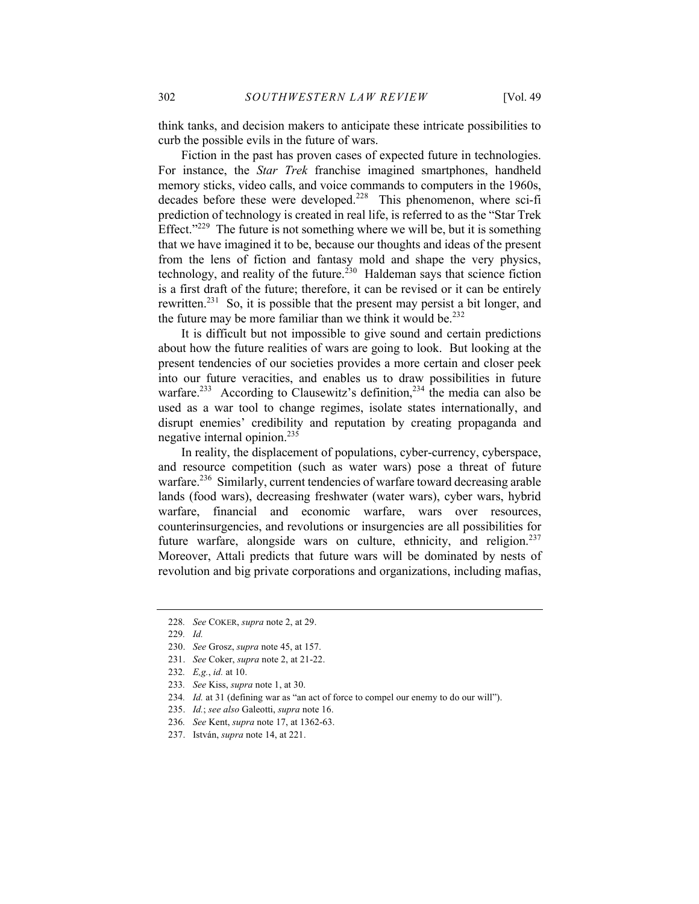think tanks, and decision makers to anticipate these intricate possibilities to curb the possible evils in the future of wars.

Fiction in the past has proven cases of expected future in technologies. For instance, the *Star Trek* franchise imagined smartphones, handheld memory sticks, video calls, and voice commands to computers in the 1960s, decades before these were developed.<sup>228</sup> This phenomenon, where sci-fi prediction of technology is created in real life, is referred to as the "Star Trek Effect." $229$  The future is not something where we will be, but it is something that we have imagined it to be, because our thoughts and ideas of the present from the lens of fiction and fantasy mold and shape the very physics, technology, and reality of the future.<sup>230</sup> Haldeman says that science fiction is a first draft of the future; therefore, it can be revised or it can be entirely rewritten.<sup>231</sup> So, it is possible that the present may persist a bit longer, and the future may be more familiar than we think it would be. $^{232}$ 

It is difficult but not impossible to give sound and certain predictions about how the future realities of wars are going to look. But looking at the present tendencies of our societies provides a more certain and closer peek into our future veracities, and enables us to draw possibilities in future warfare.<sup>233</sup> According to Clausewitz's definition,<sup>234</sup> the media can also be used as a war tool to change regimes, isolate states internationally, and disrupt enemies' credibility and reputation by creating propaganda and negative internal opinion.<sup>235</sup>

In reality, the displacement of populations, cyber-currency, cyberspace, and resource competition (such as water wars) pose a threat of future warfare.<sup>236</sup> Similarly, current tendencies of warfare toward decreasing arable lands (food wars), decreasing freshwater (water wars), cyber wars, hybrid warfare, financial and economic warfare, wars over resources, counterinsurgencies, and revolutions or insurgencies are all possibilities for future warfare, alongside wars on culture, ethnicity, and religion.<sup>237</sup> Moreover, Attali predicts that future wars will be dominated by nests of revolution and big private corporations and organizations, including mafias,

<sup>228</sup>*. See* COKER, *supra* note 2, at 29.

<sup>229</sup>*. Id.*

<sup>230.</sup> *See* Grosz, *supra* note 45, at 157.

<sup>231.</sup> *See* Coker, *supra* note 2, at 21-22.

<sup>232</sup>*. E,g.*, *id.* at 10.

<sup>233</sup>*. See* Kiss, *supra* note 1, at 30.

<sup>234</sup>*. Id.* at 31 (defining war as "an act of force to compel our enemy to do our will").

<sup>235.</sup> *Id.*; *see also* Galeotti, *supra* note 16.

<sup>236</sup>*. See* Kent, *supra* note 17, at 1362-63.

<sup>237.</sup> István, *supra* note 14, at 221.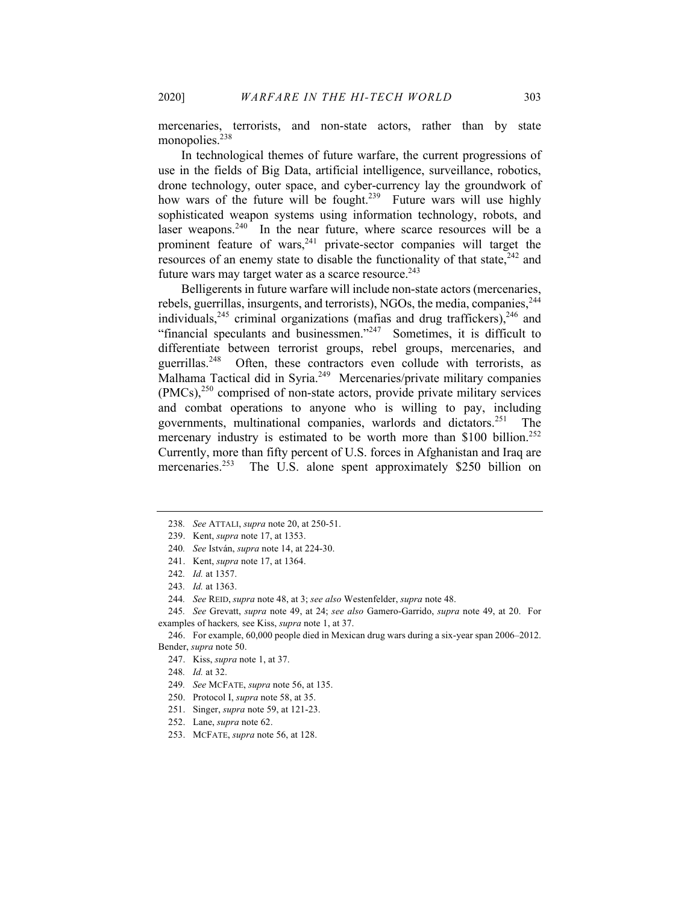mercenaries, terrorists, and non-state actors, rather than by state monopolies.<sup>238</sup>

In technological themes of future warfare, the current progressions of use in the fields of Big Data, artificial intelligence, surveillance, robotics, drone technology, outer space, and cyber-currency lay the groundwork of how wars of the future will be fought.<sup>239</sup> Future wars will use highly sophisticated weapon systems using information technology, robots, and laser weapons. $240$  In the near future, where scarce resources will be a prominent feature of wars,<sup>241</sup> private-sector companies will target the resources of an enemy state to disable the functionality of that state,  $242$  and future wars may target water as a scarce resource. $243$ 

Belligerents in future warfare will include non-state actors (mercenaries, rebels, guerrillas, insurgents, and terrorists), NGOs, the media, companies,  $244$ individuals,  $245$  criminal organizations (mafias and drug traffickers),  $246$  and "financial speculants and businessmen."<sup>247</sup> Sometimes, it is difficult to differentiate between terrorist groups, rebel groups, mercenaries, and guerrillas.<sup>248</sup> Often, these contractors even collude with terrorists, as Malhama Tactical did in Syria.<sup>249</sup> Mercenaries/private military companies  $(PMCs)$ ,<sup>250</sup> comprised of non-state actors, provide private military services and combat operations to anyone who is willing to pay, including governments, multinational companies, warlords and dictators.251 The mercenary industry is estimated to be worth more than \$100 billion.<sup>252</sup> Currently, more than fifty percent of U.S. forces in Afghanistan and Iraq are mercenaries.<sup>253</sup> The U.S. alone spent approximately \$250 billion on

- 250. Protocol I, *supra* note 58, at 35.
- 251. Singer, *supra* note 59, at 121-23.
- 252. Lane, *supra* note 62.
- 253. MCFATE, *supra* note 56, at 128.

<sup>238</sup>*. See* ATTALI, *supra* note 20, at 250-51.

<sup>239.</sup> Kent, *supra* note 17, at 1353.

<sup>240</sup>*. See* István, *supra* note 14, at 224-30.

<sup>241.</sup> Kent, *supra* note 17, at 1364.

<sup>242</sup>*. Id.* at 1357.

<sup>243</sup>*. Id.* at 1363.

<sup>244</sup>*. See* REID, *supra* note 48, at 3; *see also* Westenfelder, *supra* note 48.

<sup>245</sup>*. See* Grevatt, *supra* note 49, at 24; *see also* Gamero-Garrido, *supra* note 49, at 20. For examples of hackers*,* see Kiss, *supra* note 1, at 37.

<sup>246.</sup> For example, 60,000 people died in Mexican drug wars during a six-year span 2006–2012. Bender, *supra* note 50.

<sup>247.</sup> Kiss, *supra* note 1, at 37.

<sup>248</sup>*. Id.* at 32.

<sup>249</sup>*. See* MCFATE, *supra* note 56, at 135.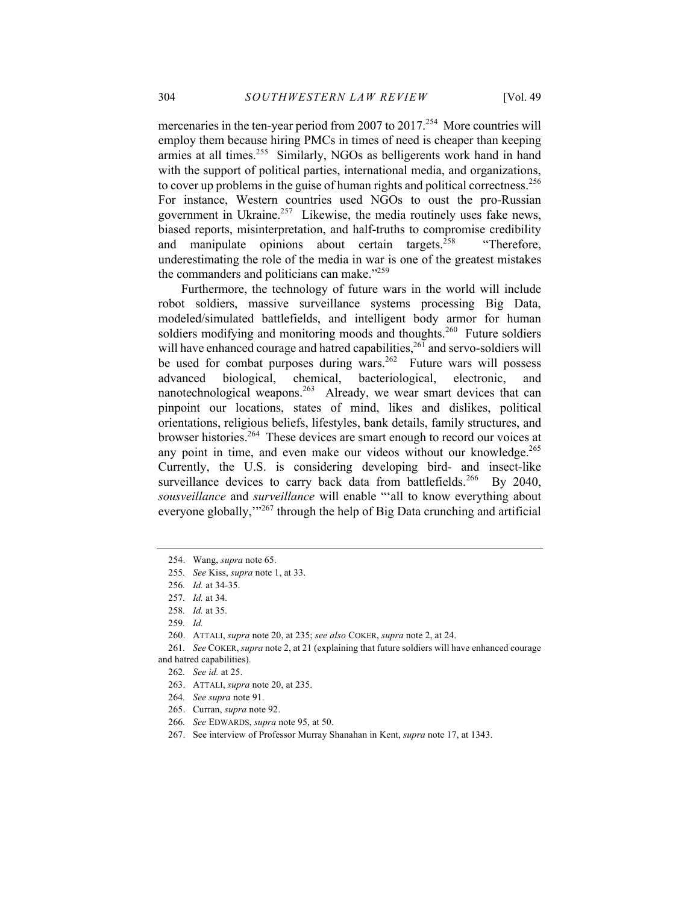mercenaries in the ten-year period from 2007 to  $2017$ <sup>254</sup> More countries will employ them because hiring PMCs in times of need is cheaper than keeping armies at all times.<sup>255</sup> Similarly, NGOs as belligerents work hand in hand with the support of political parties, international media, and organizations, to cover up problems in the guise of human rights and political correctness.<sup>256</sup> For instance, Western countries used NGOs to oust the pro-Russian government in Ukraine. $257$  Likewise, the media routinely uses fake news, biased reports, misinterpretation, and half-truths to compromise credibility and manipulate opinions about certain targets.<sup>258</sup> "Therefore, underestimating the role of the media in war is one of the greatest mistakes the commanders and politicians can make."<sup>259</sup>

Furthermore, the technology of future wars in the world will include robot soldiers, massive surveillance systems processing Big Data, modeled/simulated battlefields, and intelligent body armor for human soldiers modifying and monitoring moods and thoughts.<sup>260</sup> Future soldiers will have enhanced courage and hatred capabilities,  $^{26\bar{1}}$  and servo-soldiers will be used for combat purposes during wars.<sup>262</sup> Future wars will possess advanced biological, chemical, bacteriological, electronic, and nanotechnological weapons.<sup>263</sup> Already, we wear smart devices that can pinpoint our locations, states of mind, likes and dislikes, political orientations, religious beliefs, lifestyles, bank details, family structures, and browser histories.<sup>264</sup> These devices are smart enough to record our voices at any point in time, and even make our videos without our knowledge.<sup>265</sup> Currently, the U.S. is considering developing bird- and insect-like surveillance devices to carry back data from battlefields.<sup>266</sup> By 2040, *sousveillance* and *surveillance* will enable "'all to know everything about everyone globally,"<sup>267</sup> through the help of Big Data crunching and artificial

<sup>254.</sup> Wang, *supra* note 65.

<sup>255</sup>*. See* Kiss, *supra* note 1, at 33.

<sup>256</sup>*. Id.* at 34-35.

<sup>257</sup>*. Id.* at 34.

<sup>258</sup>*. Id.* at 35.

<sup>259</sup>*. Id.*

<sup>260.</sup> ATTALI, *supra* note 20, at 235; *see also* COKER, *supra* note 2, at 24.

<sup>261</sup>*. See* COKER, *supra* note 2, at 21 (explaining that future soldiers will have enhanced courage and hatred capabilities).

<sup>262</sup>*. See id.* at 25.

<sup>263.</sup> ATTALI, *supra* note 20, at 235.

<sup>264</sup>*. See supra* note 91.

<sup>265.</sup> Curran, *supra* note 92.

<sup>266</sup>*. See* EDWARDS, *supra* note 95, at 50.

<sup>267.</sup> See interview of Professor Murray Shanahan in Kent, *supra* note 17, at 1343.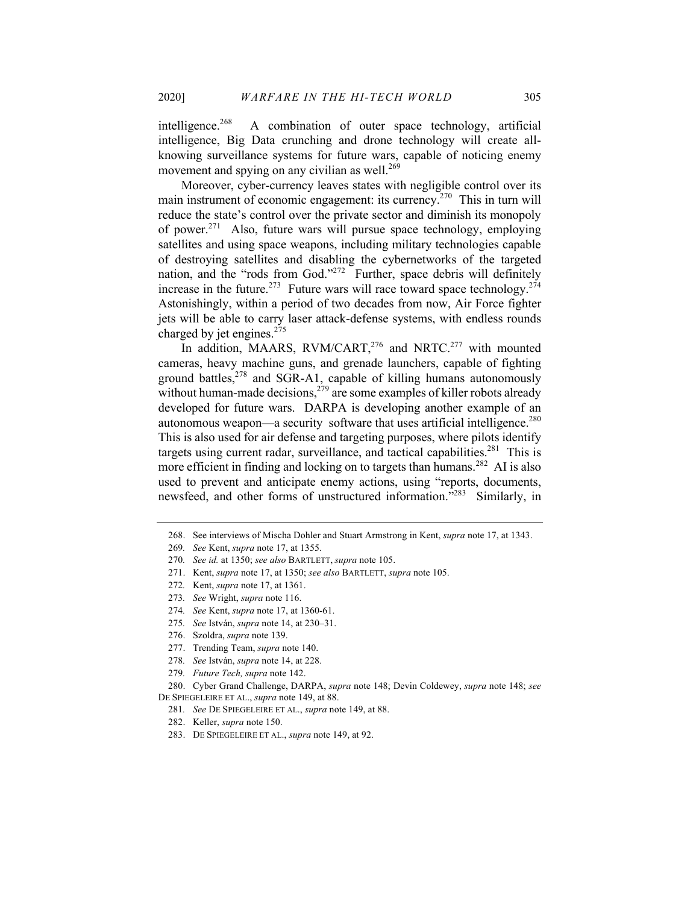intelligence.<sup>268</sup> A combination of outer space technology, artificial intelligence, Big Data crunching and drone technology will create allknowing surveillance systems for future wars, capable of noticing enemy movement and spying on any civilian as well. $269$ 

Moreover, cyber-currency leaves states with negligible control over its main instrument of economic engagement: its currency.<sup>270</sup> This in turn will reduce the state's control over the private sector and diminish its monopoly of power.<sup>271</sup> Also, future wars will pursue space technology, employing satellites and using space weapons, including military technologies capable of destroying satellites and disabling the cybernetworks of the targeted nation, and the "rods from God."<sup>272</sup> Further, space debris will definitely increase in the future.<sup>273</sup> Future wars will race toward space technology.<sup>274</sup> Astonishingly, within a period of two decades from now, Air Force fighter jets will be able to carry laser attack-defense systems, with endless rounds charged by jet engines.<sup>275</sup>

In addition, MAARS, RVM/CART,<sup>276</sup> and NRTC.<sup>277</sup> with mounted cameras, heavy machine guns, and grenade launchers, capable of fighting ground battles, $278$  and SGR-A1, capable of killing humans autonomously without human-made decisions,  $279$  are some examples of killer robots already developed for future wars. DARPA is developing another example of an autonomous weapon—a security software that uses artificial intelligence.<sup>280</sup> This is also used for air defense and targeting purposes, where pilots identify targets using current radar, surveillance, and tactical capabilities.<sup>281</sup> This is more efficient in finding and locking on to targets than humans.<sup>282</sup> AI is also used to prevent and anticipate enemy actions, using "reports, documents, newsfeed, and other forms of unstructured information."<sup>283</sup> Similarly, in

275*. See* István, *supra* note 14, at 230–31.

<sup>268.</sup> See interviews of Mischa Dohler and Stuart Armstrong in Kent, *supra* note 17, at 1343.

<sup>269</sup>*. See* Kent, *supra* note 17, at 1355.

<sup>270</sup>*. See id.* at 1350; *see also* BARTLETT, *supra* note 105.

<sup>271.</sup> Kent, *supra* note 17, at 1350; *see also* BARTLETT, *supra* note 105.

<sup>272</sup>*.* Kent, *supra* note 17, at 1361.

<sup>273</sup>*. See* Wright, *supra* note 116.

<sup>274</sup>*. See* Kent, *supra* note 17, at 1360-61.

<sup>276.</sup> Szoldra, *supra* note 139.

<sup>277.</sup> Trending Team, *supra* note 140.

<sup>278</sup>*. See* István, *supra* note 14, at 228.

<sup>279</sup>*. Future Tech, supra* note 142.

<sup>280.</sup> Cyber Grand Challenge, DARPA, *supra* note 148; Devin Coldewey, *supra* note 148; *see*  DE SPIEGELEIRE ET AL., *supra* note 149, at 88.

<sup>281</sup>*. See* DE SPIEGELEIRE ET AL., *supra* note 149, at 88.

<sup>282.</sup> Keller, *supra* note 150.

<sup>283.</sup> DE SPIEGELEIRE ET AL., *supra* note 149, at 92.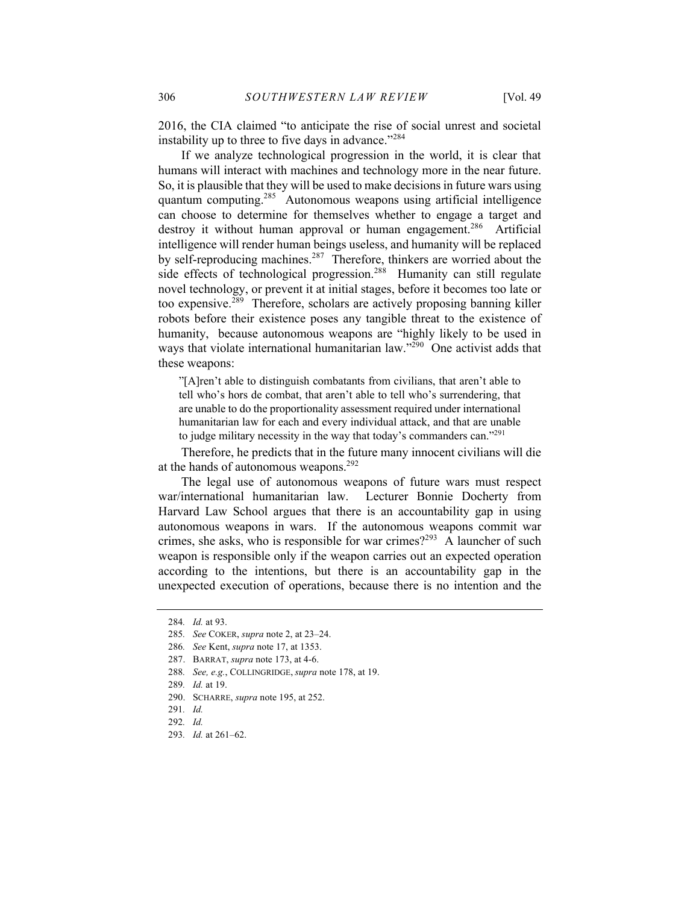2016, the CIA claimed "to anticipate the rise of social unrest and societal instability up to three to five days in advance."<sup>284</sup>

If we analyze technological progression in the world, it is clear that humans will interact with machines and technology more in the near future. So, it is plausible that they will be used to make decisions in future wars using quantum computing.<sup>285</sup> Autonomous weapons using artificial intelligence can choose to determine for themselves whether to engage a target and destroy it without human approval or human engagement.<sup>286</sup> Artificial intelligence will render human beings useless, and humanity will be replaced by self-reproducing machines.<sup>287</sup> Therefore, thinkers are worried about the side effects of technological progression.<sup>288</sup> Humanity can still regulate novel technology, or prevent it at initial stages, before it becomes too late or too expensive.289 Therefore, scholars are actively proposing banning killer robots before their existence poses any tangible threat to the existence of humanity, because autonomous weapons are "highly likely to be used in ways that violate international humanitarian law."<sup>290</sup> One activist adds that these weapons:

"[A]ren't able to distinguish combatants from civilians, that aren't able to tell who's hors de combat, that aren't able to tell who's surrendering, that are unable to do the proportionality assessment required under international humanitarian law for each and every individual attack, and that are unable to judge military necessity in the way that today's commanders can."<sup>291</sup>

Therefore, he predicts that in the future many innocent civilians will die at the hands of autonomous weapons.<sup>292</sup>

The legal use of autonomous weapons of future wars must respect war/international humanitarian law. Lecturer Bonnie Docherty from Harvard Law School argues that there is an accountability gap in using autonomous weapons in wars. If the autonomous weapons commit war crimes, she asks, who is responsible for war crimes?<sup>293</sup> A launcher of such weapon is responsible only if the weapon carries out an expected operation according to the intentions, but there is an accountability gap in the unexpected execution of operations, because there is no intention and the

<sup>284</sup>*. Id.* at 93.

<sup>285</sup>*. See* COKER, *supra* note 2, at 23–24.

<sup>286</sup>*. See* Kent, *supra* note 17, at 1353.

<sup>287.</sup> BARRAT, *supra* note 173, at 4-6.

<sup>288</sup>*. See, e.g.*, COLLINGRIDGE, *supra* note 178, at 19.

<sup>289</sup>*. Id.* at 19.

<sup>290.</sup> SCHARRE, *supra* note 195, at 252.

<sup>291</sup>*. Id.*

<sup>292</sup>*. Id.*

<sup>293</sup>*. Id.* at 261–62.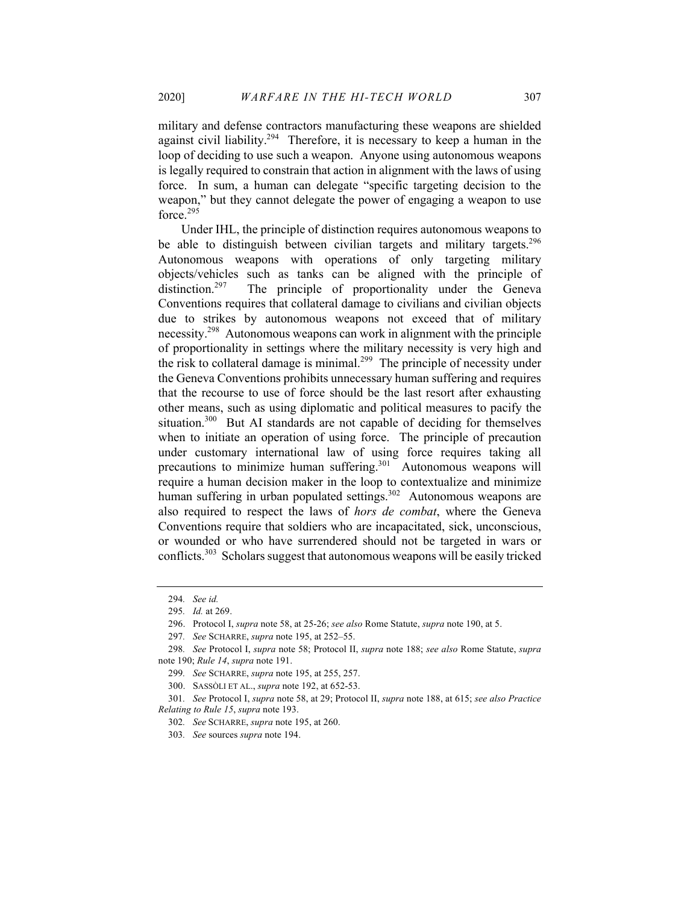military and defense contractors manufacturing these weapons are shielded against civil liability.<sup>294</sup> Therefore, it is necessary to keep a human in the loop of deciding to use such a weapon. Anyone using autonomous weapons is legally required to constrain that action in alignment with the laws of using force. In sum, a human can delegate "specific targeting decision to the weapon," but they cannot delegate the power of engaging a weapon to use force.<sup>295</sup>

Under IHL, the principle of distinction requires autonomous weapons to be able to distinguish between civilian targets and military targets.<sup>296</sup> Autonomous weapons with operations of only targeting military objects/vehicles such as tanks can be aligned with the principle of distinction.<sup>297</sup> The principle of proportionality under the Geneva Conventions requires that collateral damage to civilians and civilian objects due to strikes by autonomous weapons not exceed that of military necessity.<sup>298</sup> Autonomous weapons can work in alignment with the principle of proportionality in settings where the military necessity is very high and the risk to collateral damage is minimal.<sup>299</sup> The principle of necessity under the Geneva Conventions prohibits unnecessary human suffering and requires that the recourse to use of force should be the last resort after exhausting other means, such as using diplomatic and political measures to pacify the situation.<sup>300</sup> But AI standards are not capable of deciding for themselves when to initiate an operation of using force. The principle of precaution under customary international law of using force requires taking all precautions to minimize human suffering.<sup>301</sup> Autonomous weapons will require a human decision maker in the loop to contextualize and minimize human suffering in urban populated settings.<sup>302</sup> Autonomous weapons are also required to respect the laws of *hors de combat*, where the Geneva Conventions require that soldiers who are incapacitated, sick, unconscious, or wounded or who have surrendered should not be targeted in wars or conflicts.<sup>303</sup> Scholars suggest that autonomous weapons will be easily tricked

<sup>294</sup>*. See id.*

<sup>295</sup>*. Id.* at 269.

<sup>296.</sup> Protocol I, *supra* note 58, at 25-26; *see also* Rome Statute, *supra* note 190, at 5.

<sup>297</sup>*. See* SCHARRE, *supra* note 195, at 252–55.

<sup>298</sup>*. See* Protocol I, *supra* note 58; Protocol II, *supra* note 188; *see also* Rome Statute, *supra*  note 190; *Rule 14*, *supra* note 191.

<sup>299</sup>*. See* SCHARRE, *supra* note 195, at 255, 257.

<sup>300.</sup> SASSÒLI ET AL., *supra* note 192, at 652-53.

<sup>301</sup>*. See* Protocol I, *supra* note 58, at 29; Protocol II, *supra* note 188, at 615; *see also Practice Relating to Rule 15*, *supra* note 193.

<sup>302</sup>*. See* SCHARRE, *supra* note 195, at 260.

<sup>303</sup>*. See* sources *supra* note 194.